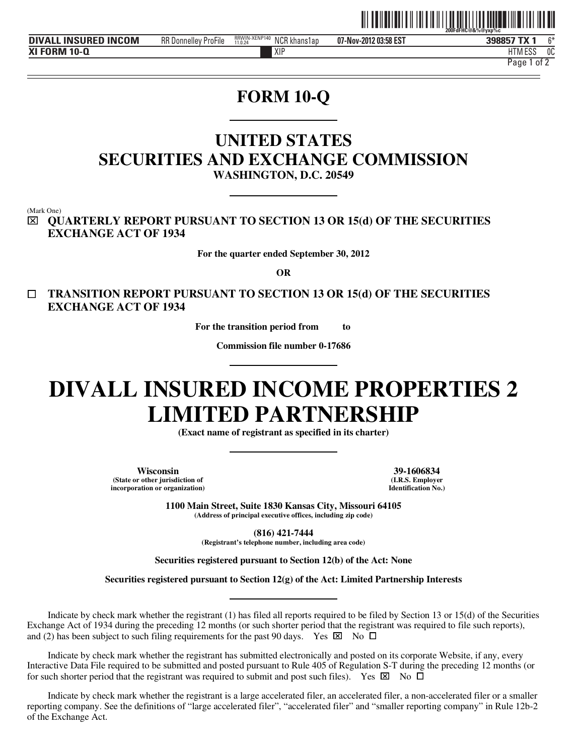

**DIVALL INSURED INCOM** BR Donnelley Profile **BRWANENP140** NCR khans1ap 07-Nov-2012 03:58 EST 398857 TX **XI FORM 10-Q**

**07-Nov-2012 03:58 EST** RR Donnelley ProFile NCR khans1ap 6\* RRWIN-XENP140 11.0.24

XIP HTM HTM ESS 0C

Page 1 of 2

# **FORM 10-Q**

## **UNITED STATES SECURITIES AND EXCHANGE COMMISSION WASHINGTON, D.C. 20549**

(Mark One)

j

⌧ **QUARTERLY REPORT PURSUANT TO SECTION 13 OR 15(d) OF THE SECURITIES EXCHANGE ACT OF 1934** 

**For the quarter ended September 30, 2012** 

**OR** 

 **TRANSITION REPORT PURSUANT TO SECTION 13 OR 15(d) OF THE SECURITIES EXCHANGE ACT OF 1934** 

**For the transition period from to** 

**Commission file number 0-17686** 

# **DIVALL INSURED INCOME PROPERTIES 2 LIMITED PARTNERSHIP**

**(Exact name of registrant as specified in its charter)** 

**Wisconsin 39-1606834 (State or other jurisdiction of incorporation or organization)**

**(I.R.S. Employer Identification No.)**

**1100 Main Street, Suite 1830 Kansas City, Missouri 64105 (Address of principal executive offices, including zip code)** 

> **(816) 421-7444 (Registrant's telephone number, including area code)**

**Securities registered pursuant to Section 12(b) of the Act: None** 

**Securities registered pursuant to Section 12(g) of the Act: Limited Partnership Interests** 

Indicate by check mark whether the registrant (1) has filed all reports required to be filed by Section 13 or 15(d) of the Securities Exchange Act of 1934 during the preceding 12 months (or such shorter period that the registrant was required to file such reports), and (2) has been subject to such filing requirements for the past 90 days. Yes  $\boxtimes$  No  $\Box$ 

Indicate by check mark whether the registrant has submitted electronically and posted on its corporate Website, if any, every Interactive Data File required to be submitted and posted pursuant to Rule 405 of Regulation S-T during the preceding 12 months (or for such shorter period that the registrant was required to submit and post such files). Yes  $\boxtimes$  No  $\Box$ 

Indicate by check mark whether the registrant is a large accelerated filer, an accelerated filer, a non-accelerated filer or a smaller reporting company. See the definitions of "large accelerated filer", "accelerated filer" and "smaller reporting company" in Rule 12b-2 of the Exchange Act.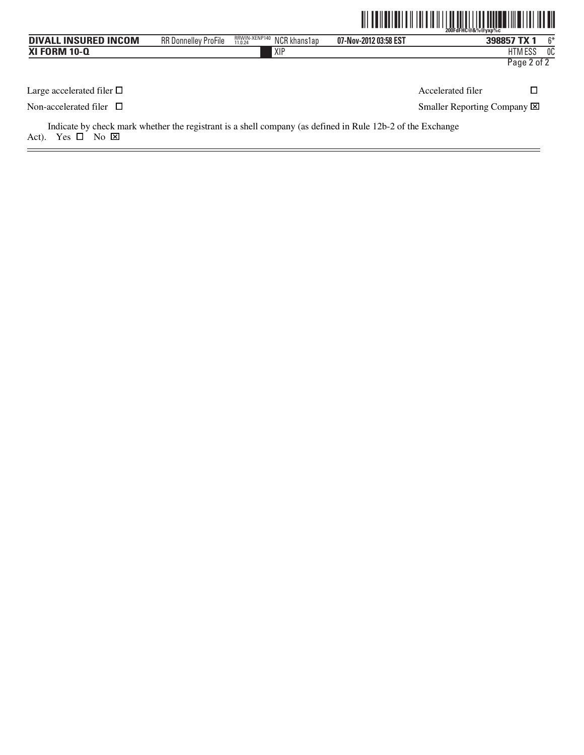|                                |                             |                                          |                       | <u> 111   111   111   111   111   111   111   111   111   111   111   111   111   111   111   111   111   1</u><br>200FdFHC@&%@vxp%c |             |      |
|--------------------------------|-----------------------------|------------------------------------------|-----------------------|--------------------------------------------------------------------------------------------------------------------------------------|-------------|------|
| <b>DIVALL INSURED INCOM</b>    | <b>RR Donnelley ProFile</b> | RRWIN-XENP140<br>NCR khans1ap<br>11.0.24 | 07-Nov-2012 03:58 EST |                                                                                                                                      | 398857 TX 1 | $6*$ |
| <b>XI FORM 10-Q</b>            |                             | XIP                                      |                       |                                                                                                                                      | HTM ESS     | 0C   |
|                                |                             |                                          |                       |                                                                                                                                      | Page 2 of 2 |      |
| Large accelerated filer $\Box$ |                             |                                          |                       | Accelerated filer                                                                                                                    | □           |      |
| Non-accelerated filer $\Box$   |                             |                                          |                       | Smaller Reporting Company X                                                                                                          |             |      |
|                                |                             |                                          |                       |                                                                                                                                      |             |      |

Indicate by check mark whether the registrant is a shell company (as defined in Rule 12b-2 of the Exchange Act). Yes  $\square$  No  $\square$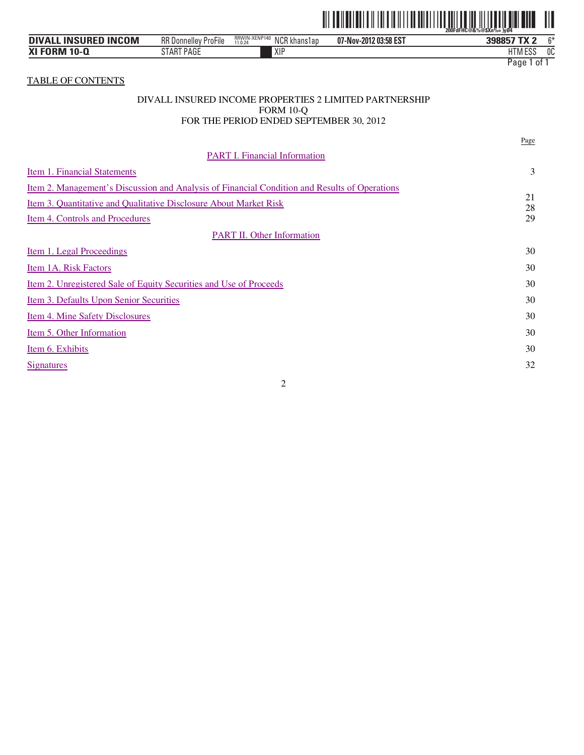

| . INSURED INCOM<br><b>DIVALL</b> | <b>RR Donnelley ProFile</b> | RRWIN-XENP140<br><b>NCR</b><br>. khans lap<br>11.0.24 | 07-Nov-2012 03:58 EST | $\sim$<br>TV O<br>398857      |
|----------------------------------|-----------------------------|-------------------------------------------------------|-----------------------|-------------------------------|
| <b>XI FORM 10-Q</b>              | <b>ART PAGE</b><br>ΑF       | XIF                                                   |                       | 0C<br>$F^{\alpha}$<br>HIM ESS |
|                                  |                             |                                                       |                       | Page<br>0t                    |

TABLE OF CONTENTS

#### DIVALL INSURED INCOME PROPERTIES 2 LIMITED PARTNERSHIP FORM 10-Q FOR THE PERIOD ENDED SEPTEMBER 30, 2012

|                                                                                               | Page     |
|-----------------------------------------------------------------------------------------------|----------|
| <b>PART I. Financial Information</b>                                                          |          |
| Item 1. Financial Statements                                                                  | 3        |
| Item 2. Management's Discussion and Analysis of Financial Condition and Results of Operations |          |
| Item 3. Quantitative and Qualitative Disclosure About Market Risk                             | 21<br>28 |
| Item 4. Controls and Procedures                                                               | 29       |
| <b>PART II. Other Information</b>                                                             |          |
| Item 1. Legal Proceedings                                                                     | 30       |
| Item 1A. Risk Factors                                                                         | 30       |
| <u>Item 2. Unregistered Sale of Equity Securities and Use of Proceeds</u>                     | 30       |
| Item 3. Defaults Upon Senior Securities                                                       | 30       |
| <u>Item 4. Mine Safety Disclosures</u>                                                        | 30       |
| Item 5. Other Information                                                                     | 30       |
| Item 6. Exhibits                                                                              | 30       |
| <b>Signatures</b>                                                                             | 32       |
|                                                                                               |          |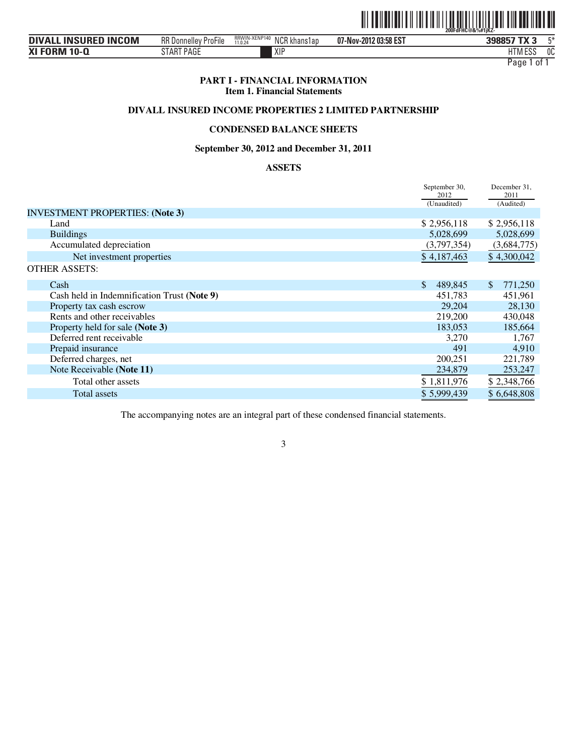

| <b>INSURED INCOM</b><br><b>DIVALL</b> | RR D<br>، Donnellev ProFile | RRWIN-XENP140<br>11.0.24<br>NCR khans1ap | 07-Nov-2012 03:58 EST | 398857 TX 3    | mж.<br>ъ. |
|---------------------------------------|-----------------------------|------------------------------------------|-----------------------|----------------|-----------|
| <b>XI FORM 10-Q</b>                   | PAGE<br>S I AK              | XIP                                      |                       | FOC<br>HIM ESS | 0C        |

#### **PART I - FINANCIAL INFORMATION Item 1. Financial Statements**

## **DIVALL INSURED INCOME PROPERTIES 2 LIMITED PARTNERSHIP**

## **CONDENSED BALANCE SHEETS**

#### **September 30, 2012 and December 31, 2011**

## **ASSETS**

|                                             | September 30,<br>2012 | December 31,<br>2011 |
|---------------------------------------------|-----------------------|----------------------|
|                                             | (Unaudited)           | (Audited)            |
| <b>INVESTMENT PROPERTIES: (Note 3)</b>      |                       |                      |
| Land                                        | \$2,956,118           | \$2,956,118          |
| <b>Buildings</b>                            | 5,028,699             | 5,028,699            |
| Accumulated depreciation                    | (3,797,354)           | (3,684,775)          |
| Net investment properties                   | \$4,187,463           | \$4,300,042          |
| <b>OTHER ASSETS:</b>                        |                       |                      |
| Cash                                        | \$<br>489,845         | \$.<br>771,250       |
| Cash held in Indemnification Trust (Note 9) | 451,783               | 451,961              |
| Property tax cash escrow                    | 29,204                | 28,130               |
| Rents and other receivables                 | 219,200               | 430,048              |
| Property held for sale (Note 3)             | 183,053               | 185,664              |
| Deferred rent receivable                    | 3,270                 | 1,767                |
| Prepaid insurance                           | 491                   | 4,910                |
| Deferred charges, net                       | 200,251               | 221,789              |
| Note Receivable (Note 11)                   | 234,879               | 253,247              |
| Total other assets                          | \$1,811,976           | \$2,348,766          |
| Total assets                                | \$5,999,439           | \$6,648,808          |

The accompanying notes are an integral part of these condensed financial statements.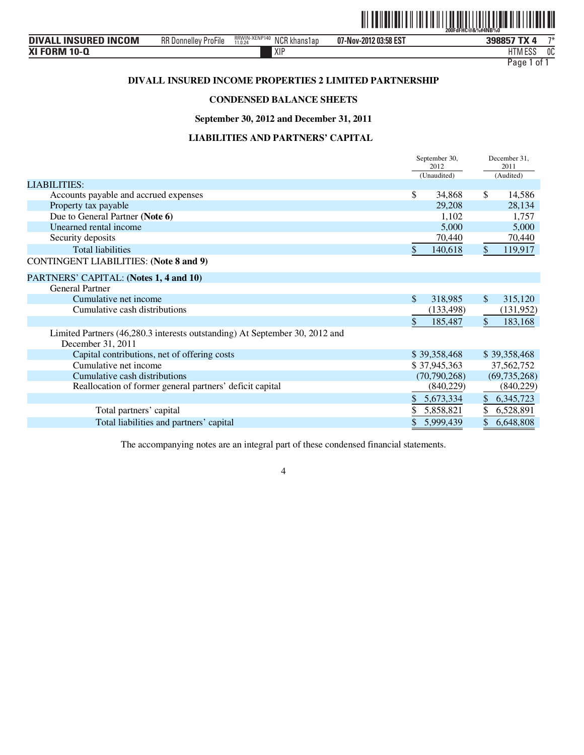

| <b>. INSURED INCOM</b><br><b>DIVAL</b> | <b>RR Donnelley ProFile</b> | RRWIN-XENP140<br>NCR I<br>' khans1ap<br>11.0.24 | 07-Nov-2012 03:58 EST | 398857 TX<br>n           | $7*$ |
|----------------------------------------|-----------------------------|-------------------------------------------------|-----------------------|--------------------------|------|
| <b>XI FORM 10-Q</b>                    |                             | XIF                                             |                       | 11T11F00<br>Luc<br>i IVI | 0C   |

## **DIVALL INSURED INCOME PROPERTIES 2 LIMITED PARTNERSHIP**

## **CONDENSED BALANCE SHEETS**

**September 30, 2012 and December 31, 2011** 

## **LIABILITIES AND PARTNERS' CAPITAL**

|                                                                                                  |     | September 30,<br>2012<br>(Unaudited) |               | December 31.<br>2011<br>(Audited) |
|--------------------------------------------------------------------------------------------------|-----|--------------------------------------|---------------|-----------------------------------|
| <b>LIABILITIES:</b>                                                                              |     |                                      |               |                                   |
| Accounts payable and accrued expenses                                                            | \$  | 34,868                               | \$            | 14,586                            |
| Property tax payable                                                                             |     | 29,208                               |               | 28,134                            |
| Due to General Partner (Note 6)                                                                  |     | 1,102                                |               | 1,757                             |
| Unearned rental income                                                                           |     | 5,000                                |               | 5,000                             |
| Security deposits                                                                                |     | 70,440                               |               | 70,440                            |
| <b>Total liabilities</b>                                                                         | \$  | 140,618                              | $\mathbb{S}$  | 119,917                           |
| <b>CONTINGENT LIABILITIES: (Note 8 and 9)</b>                                                    |     |                                      |               |                                   |
| PARTNERS' CAPITAL: (Notes 1, 4 and 10)                                                           |     |                                      |               |                                   |
| <b>General Partner</b>                                                                           |     |                                      |               |                                   |
| Cumulative net income                                                                            | \$. | 318,985                              | <sup>\$</sup> | 315,120                           |
| Cumulative cash distributions                                                                    |     | (133, 498)                           |               | (131,952)                         |
|                                                                                                  | \$  | 185,487                              | \$            | 183,168                           |
| Limited Partners (46,280.3 interests outstanding) At September 30, 2012 and<br>December 31, 2011 |     |                                      |               |                                   |
| Capital contributions, net of offering costs                                                     |     | \$39,358,468                         |               | \$39,358,468                      |
| Cumulative net income                                                                            |     | \$37,945,363                         |               | 37,562,752                        |
| Cumulative cash distributions                                                                    |     | (70, 790, 268)                       |               | (69, 735, 268)                    |
| Reallocation of former general partners' deficit capital                                         |     | (840, 229)                           |               | (840, 229)                        |
|                                                                                                  | \$  | 5,673,334                            | \$            | 6, 345, 723                       |
| Total partners' capital                                                                          |     | 5,858,821                            | \$            | 6,528,891                         |
| Total liabilities and partners' capital                                                          | \$  | 5,999,439                            | \$            | 6,648,808                         |

The accompanying notes are an integral part of these condensed financial statements.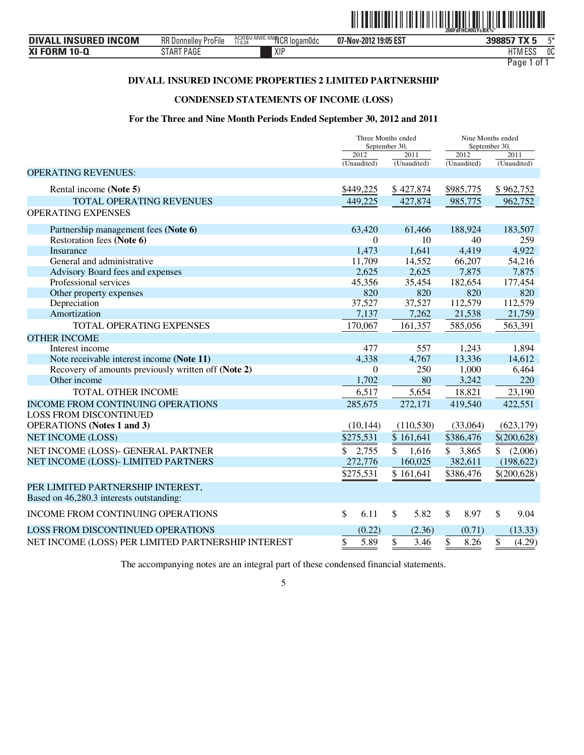

| <b>INCOM</b><br><b>INSURED</b><br><b>DIVAL</b> | RR N<br>l Donnellev ProFile | ACXFBU-MWE-XNQQCR loqam0dc<br>11.0.24 | 19:05 EST<br>07-Nov-2012 | 398857<br>- 77 | $-x$ |
|------------------------------------------------|-----------------------------|---------------------------------------|--------------------------|----------------|------|
| XI FORM 10-Q<br>м                              | PAGE<br>S I AK              | XIP                                   |                          | FOC<br>IM ESS  | 0C   |

## **DIVALL INSURED INCOME PROPERTIES 2 LIMITED PARTNERSHIP**

## **CONDENSED STATEMENTS OF INCOME (LOSS)**

#### **For the Three and Nine Month Periods Ended September 30, 2012 and 2011**

|                                                     |             | Three Months ended<br>September 30, |               | Nine Months ended<br>September 30, |  |
|-----------------------------------------------------|-------------|-------------------------------------|---------------|------------------------------------|--|
|                                                     | 2012        | 2011                                | $\sqrt{2012}$ | 2011                               |  |
|                                                     | (Unaudited) | (Unaudited)                         | (Unaudited)   | (Unaudited)                        |  |
| <b>OPERATING REVENUES:</b>                          |             |                                     |               |                                    |  |
| Rental income (Note 5)                              | \$449,225   | \$427,874                           | \$985,775     | \$962,752                          |  |
| TOTAL OPERATING REVENUES                            | 449,225     | 427,874                             | 985,775       | 962,752                            |  |
| <b>OPERATING EXPENSES</b>                           |             |                                     |               |                                    |  |
| Partnership management fees (Note 6)                | 63,420      | 61,466                              | 188,924       | 183,507                            |  |
| Restoration fees (Note 6)                           | $\theta$    | 10                                  | 40            | 259                                |  |
| <b>Insurance</b>                                    | 1,473       | 1,641                               | 4,419         | 4,922                              |  |
| General and administrative                          | 11,709      | 14,552                              | 66,207        | 54,216                             |  |
| Advisory Board fees and expenses                    | 2,625       | 2,625                               | 7,875         | 7,875                              |  |
| Professional services                               | 45,356      | 35,454                              | 182,654       | 177,454                            |  |
| Other property expenses                             | 820         | 820                                 | 820           | 820                                |  |
| Depreciation                                        | 37,527      | 37,527                              | 112,579       | 112,579                            |  |
| Amortization                                        | 7,137       | 7,262                               | 21,538        | 21,759                             |  |
| <b>TOTAL OPERATING EXPENSES</b>                     | 170,067     | 161,357                             | 585,056       | 563,391                            |  |
| <b>OTHER INCOME</b>                                 |             |                                     |               |                                    |  |
| Interest income                                     | 477         | 557                                 | 1,243         | 1,894                              |  |
| Note receivable interest income (Note 11)           | 4,338       | 4,767                               | 13,336        | 14,612                             |  |
| Recovery of amounts previously written off (Note 2) | $\Omega$    | 250                                 | 1,000         | 6,464                              |  |
| Other income                                        | 1,702       | 80                                  | 3,242         | 220                                |  |
| TOTAL OTHER INCOME                                  | 6,517       | 5,654                               | 18,821        | 23,190                             |  |
| <b>INCOME FROM CONTINUING OPERATIONS</b>            | 285,675     | 272,171                             | 419,540       | 422,551                            |  |
| <b>LOSS FROM DISCONTINUED</b>                       |             |                                     |               |                                    |  |
| <b>OPERATIONS</b> (Notes 1 and 3)                   | (10, 144)   | (110, 530)                          | (33,064)      | (623, 179)                         |  |
| <b>NET INCOME (LOSS)</b>                            | \$275,531   | \$161,641                           | \$386,476     | \$(200,628)                        |  |
| NET INCOME (LOSS)- GENERAL PARTNER                  | 2,755       | \$<br>1,616                         | \$3,865       | $\mathbb{S}$<br>(2,006)            |  |
| NET INCOME (LOSS)- LIMITED PARTNERS                 | 272,776     | 160,025                             | 382,611       | (198, 622)                         |  |
|                                                     | \$275,531   | \$161,641                           | \$386,476     | \$(200,628)                        |  |
| PER LIMITED PARTNERSHIP INTEREST,                   |             |                                     |               |                                    |  |
| Based on 46,280.3 interests outstanding:            |             |                                     |               |                                    |  |
| <b>INCOME FROM CONTINUING OPERATIONS</b>            | \$<br>6.11  | $\boldsymbol{\mathsf{S}}$<br>5.82   | \$<br>8.97    | \$<br>9.04                         |  |
| <b>LOSS FROM DISCONTINUED OPERATIONS</b>            | (0.22)      | (2.36)                              | (0.71)        | (13.33)                            |  |
| NET INCOME (LOSS) PER LIMITED PARTNERSHIP INTEREST  | \$<br>5.89  | \$<br>3.46                          | \$<br>8.26    | \$<br>(4.29)                       |  |

The accompanying notes are an integral part of these condensed financial statements.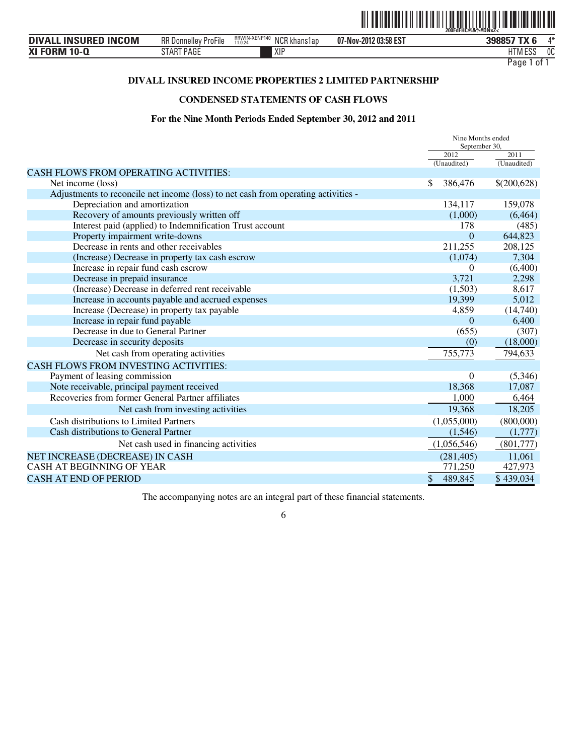

| <b>DIVALL INSURED INCOM</b> | $-\cdot$ .<br><b>RR</b> Donnelley<br>ProFile | RRWIN-XENP140<br>11.0.24<br>NCR khans1ap | 07-Nov-2012 03:58 EST | 398857              | $A \Delta$ |
|-----------------------------|----------------------------------------------|------------------------------------------|-----------------------|---------------------|------------|
| <b>XI FORM 10-Q</b>         | TART PAGE<br>SIAK                            | XIF                                      |                       | 11T11F00<br>HIM ESS | 0C         |

## **DIVALL INSURED INCOME PROPERTIES 2 LIMITED PARTNERSHIP**

## **CONDENSED STATEMENTS OF CASH FLOWS**

#### **For the Nine Month Periods Ended September 30, 2012 and 2011**

|                                                                                    | Nine Months ended<br>September 30, |             |
|------------------------------------------------------------------------------------|------------------------------------|-------------|
|                                                                                    | 2012                               | 2011        |
|                                                                                    | (Unaudited)                        | (Unaudited) |
| <b>CASH FLOWS FROM OPERATING ACTIVITIES:</b>                                       |                                    |             |
| Net income (loss)                                                                  | \$<br>386,476                      | \$(200,628) |
| Adjustments to reconcile net income (loss) to net cash from operating activities - |                                    |             |
| Depreciation and amortization                                                      | 134,117                            | 159,078     |
| Recovery of amounts previously written off                                         | (1,000)                            | (6, 464)    |
| Interest paid (applied) to Indemnification Trust account                           | 178                                | (485)       |
| Property impairment write-downs                                                    | $\overline{0}$                     | 644,823     |
| Decrease in rents and other receivables                                            | 211,255                            | 208,125     |
| (Increase) Decrease in property tax cash escrow                                    | (1,074)                            | 7,304       |
| Increase in repair fund cash escrow                                                | 0                                  | (6,400)     |
| Decrease in prepaid insurance                                                      | 3,721                              | 2,298       |
| (Increase) Decrease in deferred rent receivable                                    | (1,503)                            | 8,617       |
| Increase in accounts payable and accrued expenses                                  | 19,399                             | 5,012       |
| Increase (Decrease) in property tax payable                                        | 4,859                              | (14,740)    |
| Increase in repair fund payable                                                    | $\Omega$                           | 6,400       |
| Decrease in due to General Partner                                                 | (655)                              | (307)       |
| Decrease in security deposits                                                      | (0)                                | (18,000)    |
| Net cash from operating activities                                                 | 755,773                            | 794,633     |
| <b>CASH FLOWS FROM INVESTING ACTIVITIES:</b>                                       |                                    |             |
| Payment of leasing commission                                                      | $\Omega$                           | (5,346)     |
| Note receivable, principal payment received                                        | 18,368                             | 17,087      |
| Recoveries from former General Partner affiliates                                  | 1,000                              | 6,464       |
| Net cash from investing activities                                                 | 19,368                             | 18,205      |
| Cash distributions to Limited Partners                                             | (1,055,000)                        | (800,000)   |
| Cash distributions to General Partner                                              | (1,546)                            | (1,777)     |
| Net cash used in financing activities                                              | (1,056,546)                        | (801,777)   |
| NET INCREASE (DECREASE) IN CASH                                                    | (281, 405)                         | 11,061      |
| <b>CASH AT BEGINNING OF YEAR</b>                                                   | 771,250                            | 427,973     |
| <b>CASH AT END OF PERIOD</b>                                                       | \$<br>489,845                      | \$439,034   |
|                                                                                    |                                    |             |

The accompanying notes are an integral part of these financial statements.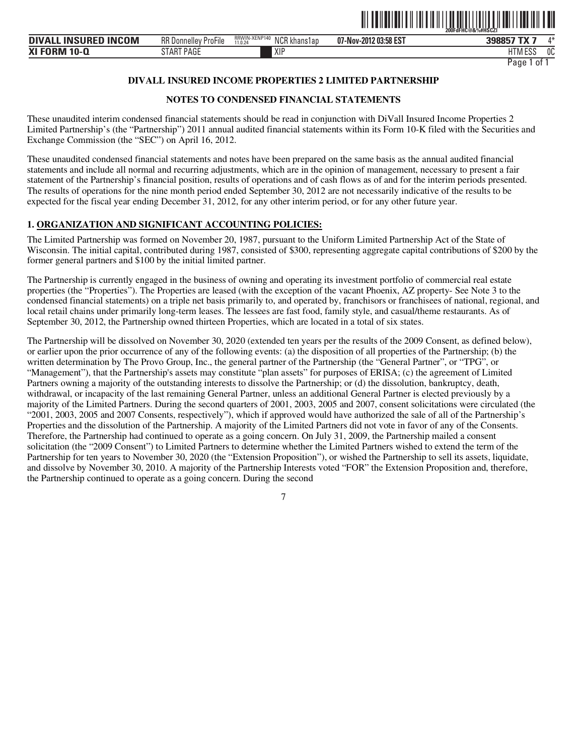

| <b>INSURED INCOM</b><br><b>DIVALL</b> | $-\cdot$ .<br>RR D<br>. Donnellev<br>: ProFile | RRWIN-XENP140<br>N <sub>CR</sub><br>' khans1ap<br>11.0.24<br>ושעו | 07-Nov-2012 03:58 EST | 200057<br>$\mathbf{r} \mathbf{v}$ –<br>נוססכנ | ⁄l* |
|---------------------------------------|------------------------------------------------|-------------------------------------------------------------------|-----------------------|-----------------------------------------------|-----|
| <b>XI FORM 10-0</b>                   | <b>START PAGE</b>                              | XIP                                                               |                       | $F^{\alpha}$<br>IM ESS                        | 0C  |
|                                       |                                                |                                                                   |                       |                                               |     |

## **DIVALL INSURED INCOME PROPERTIES 2 LIMITED PARTNERSHIP**

## **NOTES TO CONDENSED FINANCIAL STATEMENTS**

These unaudited interim condensed financial statements should be read in conjunction with DiVall Insured Income Properties 2 Limited Partnership's (the "Partnership") 2011 annual audited financial statements within its Form 10-K filed with the Securities and Exchange Commission (the "SEC") on April 16, 2012.

These unaudited condensed financial statements and notes have been prepared on the same basis as the annual audited financial statements and include all normal and recurring adjustments, which are in the opinion of management, necessary to present a fair statement of the Partnership's financial position, results of operations and of cash flows as of and for the interim periods presented. The results of operations for the nine month period ended September 30, 2012 are not necessarily indicative of the results to be expected for the fiscal year ending December 31, 2012, for any other interim period, or for any other future year.

### **1. ORGANIZATION AND SIGNIFICANT ACCOUNTING POLICIES:**

The Limited Partnership was formed on November 20, 1987, pursuant to the Uniform Limited Partnership Act of the State of Wisconsin. The initial capital, contributed during 1987, consisted of \$300, representing aggregate capital contributions of \$200 by the former general partners and \$100 by the initial limited partner.

The Partnership is currently engaged in the business of owning and operating its investment portfolio of commercial real estate properties (the "Properties"). The Properties are leased (with the exception of the vacant Phoenix, AZ property- See Note 3 to the condensed financial statements) on a triple net basis primarily to, and operated by, franchisors or franchisees of national, regional, and local retail chains under primarily long-term leases. The lessees are fast food, family style, and casual/theme restaurants. As of September 30, 2012, the Partnership owned thirteen Properties, which are located in a total of six states.

The Partnership will be dissolved on November 30, 2020 (extended ten years per the results of the 2009 Consent, as defined below), or earlier upon the prior occurrence of any of the following events: (a) the disposition of all properties of the Partnership; (b) the written determination by The Provo Group, Inc., the general partner of the Partnership (the "General Partner", or "TPG", or "Management"), that the Partnership's assets may constitute "plan assets" for purposes of ERISA; (c) the agreement of Limited Partners owning a majority of the outstanding interests to dissolve the Partnership; or (d) the dissolution, bankruptcy, death, withdrawal, or incapacity of the last remaining General Partner, unless an additional General Partner is elected previously by a majority of the Limited Partners. During the second quarters of 2001, 2003, 2005 and 2007, consent solicitations were circulated (the "2001, 2003, 2005 and 2007 Consents, respectively"), which if approved would have authorized the sale of all of the Partnership's Properties and the dissolution of the Partnership. A majority of the Limited Partners did not vote in favor of any of the Consents. Therefore, the Partnership had continued to operate as a going concern. On July 31, 2009, the Partnership mailed a consent solicitation (the "2009 Consent") to Limited Partners to determine whether the Limited Partners wished to extend the term of the Partnership for ten years to November 30, 2020 (the "Extension Proposition"), or wished the Partnership to sell its assets, liquidate, and dissolve by November 30, 2010. A majority of the Partnership Interests voted "FOR" the Extension Proposition and, therefore, the Partnership continued to operate as a going concern. During the second

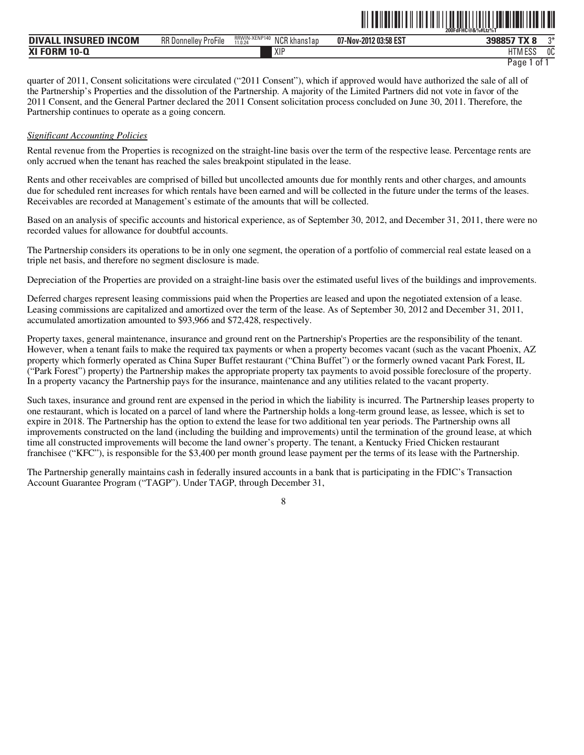| . INSURED INCOM<br><b>DIVALL</b> | RR D<br>$- \cdot \cdot$<br>K Donnellev ProFile | RRWIN-XENP140<br>N <sub>CR</sub> <sub>k</sub><br>l khans1ap<br>11.0.24<br>ו שנו | 07-Nov-2012 03:58 EST | 398857 TX      | $n*$ |
|----------------------------------|------------------------------------------------|---------------------------------------------------------------------------------|-----------------------|----------------|------|
| <b>XI FORM</b><br>$10-0$         |                                                | XIP                                                                             |                       | <b>HTM ESS</b> | 0C   |

ˆ200FdFHC@&%#Ltz%TŠ

quarter of 2011, Consent solicitations were circulated ("2011 Consent"), which if approved would have authorized the sale of all of the Partnership's Properties and the dissolution of the Partnership. A majority of the Limited Partners did not vote in favor of the 2011 Consent, and the General Partner declared the 2011 Consent solicitation process concluded on June 30, 2011. Therefore, the Partnership continues to operate as a going concern.

#### *Significant Accounting Policies*

Rental revenue from the Properties is recognized on the straight-line basis over the term of the respective lease. Percentage rents are only accrued when the tenant has reached the sales breakpoint stipulated in the lease.

Rents and other receivables are comprised of billed but uncollected amounts due for monthly rents and other charges, and amounts due for scheduled rent increases for which rentals have been earned and will be collected in the future under the terms of the leases. Receivables are recorded at Management's estimate of the amounts that will be collected.

Based on an analysis of specific accounts and historical experience, as of September 30, 2012, and December 31, 2011, there were no recorded values for allowance for doubtful accounts.

The Partnership considers its operations to be in only one segment, the operation of a portfolio of commercial real estate leased on a triple net basis, and therefore no segment disclosure is made.

Depreciation of the Properties are provided on a straight-line basis over the estimated useful lives of the buildings and improvements.

Deferred charges represent leasing commissions paid when the Properties are leased and upon the negotiated extension of a lease. Leasing commissions are capitalized and amortized over the term of the lease. As of September 30, 2012 and December 31, 2011, accumulated amortization amounted to \$93,966 and \$72,428, respectively.

Property taxes, general maintenance, insurance and ground rent on the Partnership's Properties are the responsibility of the tenant. However, when a tenant fails to make the required tax payments or when a property becomes vacant (such as the vacant Phoenix, AZ property which formerly operated as China Super Buffet restaurant ("China Buffet") or the formerly owned vacant Park Forest, IL ("Park Forest") property) the Partnership makes the appropriate property tax payments to avoid possible foreclosure of the property. In a property vacancy the Partnership pays for the insurance, maintenance and any utilities related to the vacant property.

Such taxes, insurance and ground rent are expensed in the period in which the liability is incurred. The Partnership leases property to one restaurant, which is located on a parcel of land where the Partnership holds a long-term ground lease, as lessee, which is set to expire in 2018. The Partnership has the option to extend the lease for two additional ten year periods. The Partnership owns all improvements constructed on the land (including the building and improvements) until the termination of the ground lease, at which time all constructed improvements will become the land owner's property. The tenant, a Kentucky Fried Chicken restaurant franchisee ("KFC"), is responsible for the \$3,400 per month ground lease payment per the terms of its lease with the Partnership.

The Partnership generally maintains cash in federally insured accounts in a bank that is participating in the FDIC's Transaction Account Guarantee Program ("TAGP"). Under TAGP, through December 31,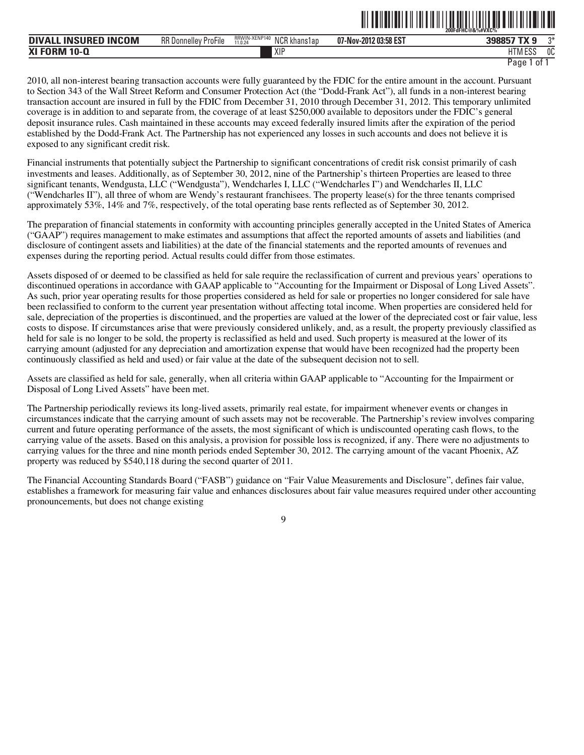|                             |                             |                                          |                       | <u> All an Dallach an chomhair an Dallach an chomhair an Dallach </u><br>200FdFHC@&%#VXC% |
|-----------------------------|-----------------------------|------------------------------------------|-----------------------|-------------------------------------------------------------------------------------------|
| <b>DIVALL INSURED INCOM</b> | <b>RR Donnelley ProFile</b> | RRWIN-XENP140<br>NCR khans1ap<br>11.0.24 | 07-Nov-2012 03:58 EST | つ米<br>398857 TX 9                                                                         |
| <b>XI FORM 10-Q</b>         |                             | XIP                                      |                       | 0C<br>HTM ESS                                                                             |

2010, all non-interest bearing transaction accounts were fully guaranteed by the FDIC for the entire amount in the account. Pursuant to Section 343 of the Wall Street Reform and Consumer Protection Act (the "Dodd-Frank Act"), all funds in a non-interest bearing transaction account are insured in full by the FDIC from December 31, 2010 through December 31, 2012. This temporary unlimited coverage is in addition to and separate from, the coverage of at least \$250,000 available to depositors under the FDIC's general deposit insurance rules. Cash maintained in these accounts may exceed federally insured limits after the expiration of the period established by the Dodd-Frank Act. The Partnership has not experienced any losses in such accounts and does not believe it is exposed to any significant credit risk.

Financial instruments that potentially subject the Partnership to significant concentrations of credit risk consist primarily of cash investments and leases. Additionally, as of September 30, 2012, nine of the Partnership's thirteen Properties are leased to three significant tenants, Wendgusta, LLC ("Wendgusta"), Wendcharles I, LLC ("Wendcharles I") and Wendcharles II, LLC ("Wendcharles II"), all three of whom are Wendy's restaurant franchisees. The property lease(s) for the three tenants comprised approximately 53%, 14% and 7%, respectively, of the total operating base rents reflected as of September 30, 2012.

The preparation of financial statements in conformity with accounting principles generally accepted in the United States of America ("GAAP") requires management to make estimates and assumptions that affect the reported amounts of assets and liabilities (and disclosure of contingent assets and liabilities) at the date of the financial statements and the reported amounts of revenues and expenses during the reporting period. Actual results could differ from those estimates.

Assets disposed of or deemed to be classified as held for sale require the reclassification of current and previous years' operations to discontinued operations in accordance with GAAP applicable to "Accounting for the Impairment or Disposal of Long Lived Assets". As such, prior year operating results for those properties considered as held for sale or properties no longer considered for sale have been reclassified to conform to the current year presentation without affecting total income. When properties are considered held for sale, depreciation of the properties is discontinued, and the properties are valued at the lower of the depreciated cost or fair value, less costs to dispose. If circumstances arise that were previously considered unlikely, and, as a result, the property previously classified as held for sale is no longer to be sold, the property is reclassified as held and used. Such property is measured at the lower of its carrying amount (adjusted for any depreciation and amortization expense that would have been recognized had the property been continuously classified as held and used) or fair value at the date of the subsequent decision not to sell.

Assets are classified as held for sale, generally, when all criteria within GAAP applicable to "Accounting for the Impairment or Disposal of Long Lived Assets" have been met.

The Partnership periodically reviews its long-lived assets, primarily real estate, for impairment whenever events or changes in circumstances indicate that the carrying amount of such assets may not be recoverable. The Partnership's review involves comparing current and future operating performance of the assets, the most significant of which is undiscounted operating cash flows, to the carrying value of the assets. Based on this analysis, a provision for possible loss is recognized, if any. There were no adjustments to carrying values for the three and nine month periods ended September 30, 2012. The carrying amount of the vacant Phoenix, AZ property was reduced by \$540,118 during the second quarter of 2011.

The Financial Accounting Standards Board ("FASB") guidance on "Fair Value Measurements and Disclosure", defines fair value, establishes a framework for measuring fair value and enhances disclosures about fair value measures required under other accounting pronouncements, but does not change existing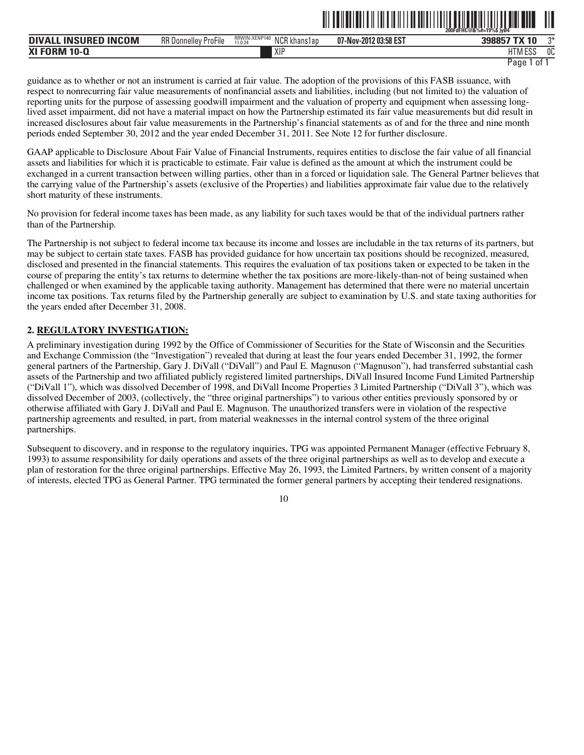|                                                           |                                                   |                                                                   |                       | $-200$ FdFHC@&%#=19%\$ }y04 | --- |
|-----------------------------------------------------------|---------------------------------------------------|-------------------------------------------------------------------|-----------------------|-----------------------------|-----|
| <b>ICOM</b><br><b>INSURED</b><br><b>DIVA</b><br><b>IN</b> | <b>RR</b> Donnelley<br>$- \cdot \cdot$<br>ProFile | RRWIN-XENP140<br>N <sub>CR k</sub><br>l khans1an<br>11.0.24<br>۱U | 07-Nov-2012 03:58 EST |                             | ∩Ж  |
| <b>XI FORM 10-0</b>                                       |                                                   | XIP                                                               |                       | . <i>.</i><br>IIM ESS       | 0C  |

```
Page 1 of 1
```
ˆ200FdFHC@&%#=19%\$Š}y 4 **200FdFHC@&%#=19%\$ }yØ4**

guidance as to whether or not an instrument is carried at fair value. The adoption of the provisions of this FASB issuance, with respect to nonrecurring fair value measurements of nonfinancial assets and liabilities, including (but not limited to) the valuation of reporting units for the purpose of assessing goodwill impairment and the valuation of property and equipment when assessing longlived asset impairment, did not have a material impact on how the Partnership estimated its fair value measurements but did result in increased disclosures about fair value measurements in the Partnership's financial statements as of and for the three and nine month periods ended September 30, 2012 and the year ended December 31, 2011. See Note 12 for further disclosure.

GAAP applicable to Disclosure About Fair Value of Financial Instruments, requires entities to disclose the fair value of all financial assets and liabilities for which it is practicable to estimate. Fair value is defined as the amount at which the instrument could be exchanged in a current transaction between willing parties, other than in a forced or liquidation sale. The General Partner believes that the carrying value of the Partnership's assets (exclusive of the Properties) and liabilities approximate fair value due to the relatively short maturity of these instruments.

No provision for federal income taxes has been made, as any liability for such taxes would be that of the individual partners rather than of the Partnership.

The Partnership is not subject to federal income tax because its income and losses are includable in the tax returns of its partners, but may be subject to certain state taxes. FASB has provided guidance for how uncertain tax positions should be recognized, measured, disclosed and presented in the financial statements. This requires the evaluation of tax positions taken or expected to be taken in the course of preparing the entity's tax returns to determine whether the tax positions are more-likely-than-not of being sustained when challenged or when examined by the applicable taxing authority. Management has determined that there were no material uncertain income tax positions. Tax returns filed by the Partnership generally are subject to examination by U.S. and state taxing authorities for the years ended after December 31, 2008.

## **2. REGULATORY INVESTIGATION:**

A preliminary investigation during 1992 by the Office of Commissioner of Securities for the State of Wisconsin and the Securities and Exchange Commission (the "Investigation") revealed that during at least the four years ended December 31, 1992, the former general partners of the Partnership, Gary J. DiVall ("DiVall") and Paul E. Magnuson ("Magnuson"), had transferred substantial cash assets of the Partnership and two affiliated publicly registered limited partnerships, DiVall Insured Income Fund Limited Partnership ("DiVall 1"), which was dissolved December of 1998, and DiVall Income Properties 3 Limited Partnership ("DiVall 3"), which was dissolved December of 2003, (collectively, the "three original partnerships") to various other entities previously sponsored by or otherwise affiliated with Gary J. DiVall and Paul E. Magnuson. The unauthorized transfers were in violation of the respective partnership agreements and resulted, in part, from material weaknesses in the internal control system of the three original partnerships.

Subsequent to discovery, and in response to the regulatory inquiries, TPG was appointed Permanent Manager (effective February 8, 1993) to assume responsibility for daily operations and assets of the three original partnerships as well as to develop and execute a plan of restoration for the three original partnerships. Effective May 26, 1993, the Limited Partners, by written consent of a majority of interests, elected TPG as General Partner. TPG terminated the former general partners by accepting their tendered resignations.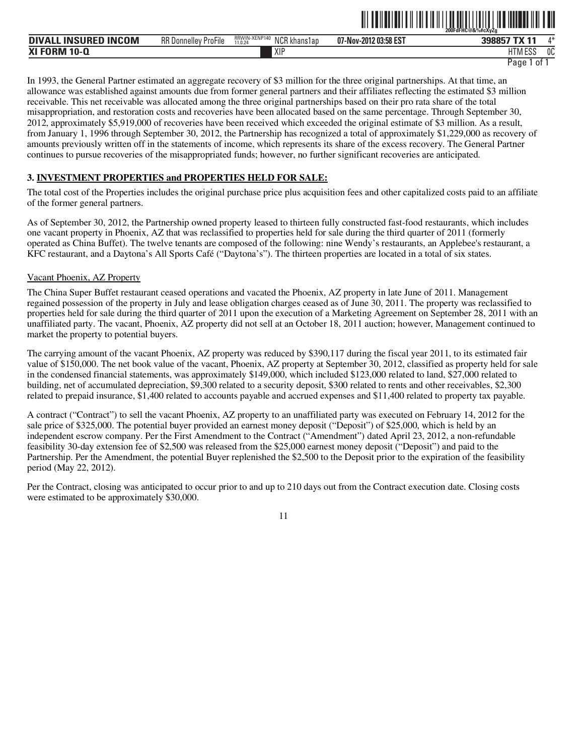|                                                    |                                                   |                                                 | --<br>--------------  | 200FdFHC@&%#cXvZa<br>------------------ |      |
|----------------------------------------------------|---------------------------------------------------|-------------------------------------------------|-----------------------|-----------------------------------------|------|
| <b>INCOM</b><br><b>INSURED</b><br><b>DIVA</b><br>ᇿ | $- \cdot \cdot$<br><b>RR</b> Donnelley<br>ProFile | RRWIN-XENP140<br>NCR k<br>' khans1an<br>11.0.24 | 07-Nov-2012 03:58 EST | 398857 TX 11                            | $A*$ |
| <b>XI FORM</b><br>10-l                             |                                                   | XIP                                             |                       | 11T11T0C<br>U I IVI LOJ                 | 0C   |

ˆ200FdFHC@&%#cXyZgŠ

In 1993, the General Partner estimated an aggregate recovery of \$3 million for the three original partnerships. At that time, an allowance was established against amounts due from former general partners and their affiliates reflecting the estimated \$3 million receivable. This net receivable was allocated among the three original partnerships based on their pro rata share of the total misappropriation, and restoration costs and recoveries have been allocated based on the same percentage. Through September 30, 2012, approximately \$5,919,000 of recoveries have been received which exceeded the original estimate of \$3 million. As a result, from January 1, 1996 through September 30, 2012, the Partnership has recognized a total of approximately \$1,229,000 as recovery of amounts previously written off in the statements of income, which represents its share of the excess recovery. The General Partner continues to pursue recoveries of the misappropriated funds; however, no further significant recoveries are anticipated.

## **3. INVESTMENT PROPERTIES and PROPERTIES HELD FOR SALE:**

The total cost of the Properties includes the original purchase price plus acquisition fees and other capitalized costs paid to an affiliate of the former general partners.

As of September 30, 2012, the Partnership owned property leased to thirteen fully constructed fast-food restaurants, which includes one vacant property in Phoenix, AZ that was reclassified to properties held for sale during the third quarter of 2011 (formerly operated as China Buffet). The twelve tenants are composed of the following: nine Wendy's restaurants, an Applebee's restaurant, a KFC restaurant, and a Daytona's All Sports Café ("Daytona's"). The thirteen properties are located in a total of six states.

#### Vacant Phoenix, AZ Property

The China Super Buffet restaurant ceased operations and vacated the Phoenix, AZ property in late June of 2011. Management regained possession of the property in July and lease obligation charges ceased as of June 30, 2011. The property was reclassified to properties held for sale during the third quarter of 2011 upon the execution of a Marketing Agreement on September 28, 2011 with an unaffiliated party. The vacant, Phoenix, AZ property did not sell at an October 18, 2011 auction; however, Management continued to market the property to potential buyers.

The carrying amount of the vacant Phoenix, AZ property was reduced by \$390,117 during the fiscal year 2011, to its estimated fair value of \$150,000. The net book value of the vacant, Phoenix, AZ property at September 30, 2012, classified as property held for sale in the condensed financial statements, was approximately \$149,000, which included \$123,000 related to land, \$27,000 related to building, net of accumulated depreciation, \$9,300 related to a security deposit, \$300 related to rents and other receivables, \$2,300 related to prepaid insurance, \$1,400 related to accounts payable and accrued expenses and \$11,400 related to property tax payable.

A contract ("Contract") to sell the vacant Phoenix, AZ property to an unaffiliated party was executed on February 14, 2012 for the sale price of \$325,000. The potential buyer provided an earnest money deposit ("Deposit") of \$25,000, which is held by an independent escrow company. Per the First Amendment to the Contract ("Amendment") dated April 23, 2012, a non-refundable feasibility 30-day extension fee of \$2,500 was released from the \$25,000 earnest money deposit ("Deposit") and paid to the Partnership. Per the Amendment, the potential Buyer replenished the \$2,500 to the Deposit prior to the expiration of the feasibility period (May 22, 2012).

Per the Contract, closing was anticipated to occur prior to and up to 210 days out from the Contract execution date. Closing costs were estimated to be approximately \$30,000.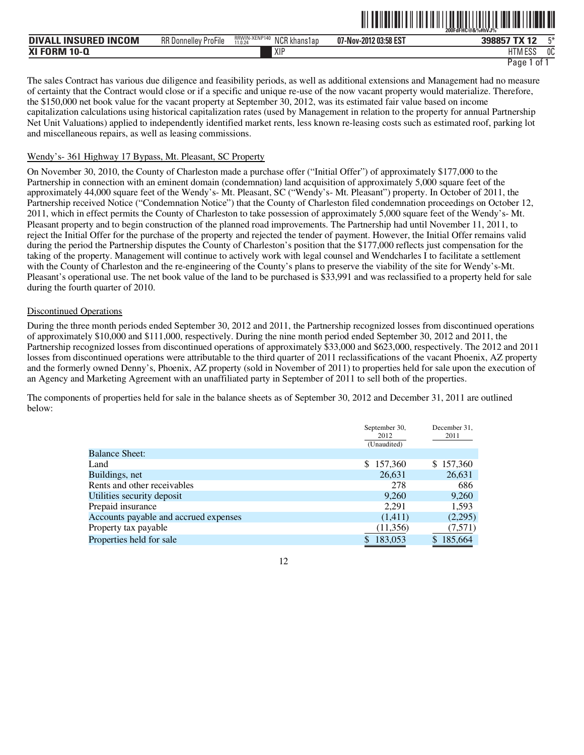|                                  |                                                |                                               | ------------          | 200FdFHC@&%#hVJ%   |
|----------------------------------|------------------------------------------------|-----------------------------------------------|-----------------------|--------------------|
| . INSURED INCOM<br><b>DIVALL</b> | RR D<br>$- \cdot \cdot$<br>{ Donnellev ProFile | RRWIN-XENP140<br>NCR k<br>khanslap<br>11.0.24 | 07-Nov-2012 03:58 EST | 工关<br>398857 TX 12 |
| <b>XI FORM 10-Q</b>              |                                                | XIP                                           |                       | 0C<br>HTM ESS      |
|                                  |                                                |                                               |                       | Page<br>0t         |

ˆ200FdFHC@&%#hVJ%ÈŠ

The sales Contract has various due diligence and feasibility periods, as well as additional extensions and Management had no measure of certainty that the Contract would close or if a specific and unique re-use of the now vacant property would materialize. Therefore, the \$150,000 net book value for the vacant property at September 30, 2012, was its estimated fair value based on income capitalization calculations using historical capitalization rates (used by Management in relation to the property for annual Partnership Net Unit Valuations) applied to independently identified market rents, less known re-leasing costs such as estimated roof, parking lot and miscellaneous repairs, as well as leasing commissions.

#### Wendy's- 361 Highway 17 Bypass, Mt. Pleasant, SC Property

On November 30, 2010, the County of Charleston made a purchase offer ("Initial Offer") of approximately \$177,000 to the Partnership in connection with an eminent domain (condemnation) land acquisition of approximately 5,000 square feet of the approximately 44,000 square feet of the Wendy's- Mt. Pleasant, SC ("Wendy's- Mt. Pleasant") property. In October of 2011, the Partnership received Notice ("Condemnation Notice") that the County of Charleston filed condemnation proceedings on October 12, 2011, which in effect permits the County of Charleston to take possession of approximately 5,000 square feet of the Wendy's- Mt. Pleasant property and to begin construction of the planned road improvements. The Partnership had until November 11, 2011, to reject the Initial Offer for the purchase of the property and rejected the tender of payment. However, the Initial Offer remains valid during the period the Partnership disputes the County of Charleston's position that the \$177,000 reflects just compensation for the taking of the property. Management will continue to actively work with legal counsel and Wendcharles I to facilitate a settlement with the County of Charleston and the re-engineering of the County's plans to preserve the viability of the site for Wendy's-Mt. Pleasant's operational use. The net book value of the land to be purchased is \$33,991 and was reclassified to a property held for sale during the fourth quarter of 2010.

#### Discontinued Operations

During the three month periods ended September 30, 2012 and 2011, the Partnership recognized losses from discontinued operations of approximately \$10,000 and \$111,000, respectively. During the nine month period ended September 30, 2012 and 2011, the Partnership recognized losses from discontinued operations of approximately \$33,000 and \$623,000, respectively. The 2012 and 2011 losses from discontinued operations were attributable to the third quarter of 2011 reclassifications of the vacant Phoenix, AZ property and the formerly owned Denny's, Phoenix, AZ property (sold in November of 2011) to properties held for sale upon the execution of an Agency and Marketing Agreement with an unaffiliated party in September of 2011 to sell both of the properties.

The components of properties held for sale in the balance sheets as of September 30, 2012 and December 31, 2011 are outlined below:

|                                       | September 30,<br>2012 | December 31,<br>2011 |
|---------------------------------------|-----------------------|----------------------|
|                                       | (Unaudited)           |                      |
| <b>Balance Sheet:</b>                 |                       |                      |
| Land                                  | 157,360<br>\$.        | \$157,360            |
| Buildings, net                        | 26,631                | 26,631               |
| Rents and other receivables           | 278                   | 686                  |
| Utilities security deposit            | 9,260                 | 9,260                |
| Prepaid insurance                     | 2.291                 | 1,593                |
| Accounts payable and accrued expenses | (1,411)               | (2,295)              |
| Property tax payable                  | (11,356)              | (7,571)              |
| Properties held for sale              | 183.053<br>S          | 185,664<br>S         |

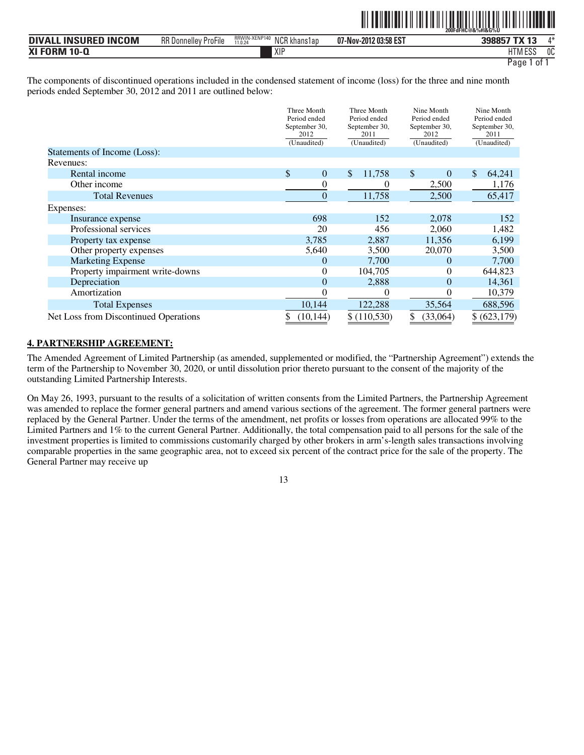|--|--|

| <b>INSURED INCOM</b><br><b>DIVAI</b> | RR D<br>$-\cdot$ .<br>nellev ProFile<br>. Dor | RRWIN-XENP140<br><b>NIOD L</b><br>NCK khans1ap<br>11.0.24 | 07-Nov-2012 03:58 EST | <b>TX 13</b><br>2000E7 | $A*$ |
|--------------------------------------|-----------------------------------------------|-----------------------------------------------------------|-----------------------|------------------------|------|
| <b>XI FORM 10-0</b>                  |                                               | XIF                                                       |                       | <b>HTM ESS</b>         | 0C   |
|                                      |                                               |                                                           |                       | $0^{\circ}$<br>Paqe    |      |

The components of discontinued operations included in the condensed statement of income (loss) for the three and nine month periods ended September 30, 2012 and 2011 are outlined below:

|                                       | Three Month<br>Period ended<br>September 30,<br>2012<br>(Unaudited) | Three Month<br>Period ended<br>September 30,<br>2011<br>(Unaudited) | Nine Month<br>Period ended<br>September 30,<br>2012<br>(Unaudited) | Nine Month<br>Period ended<br>September 30,<br>2011<br>(Unaudited) |
|---------------------------------------|---------------------------------------------------------------------|---------------------------------------------------------------------|--------------------------------------------------------------------|--------------------------------------------------------------------|
| Statements of Income (Loss):          |                                                                     |                                                                     |                                                                    |                                                                    |
| Revenues:                             |                                                                     |                                                                     |                                                                    |                                                                    |
| Rental income                         | \$                                                                  | \$<br>11,758<br>$\boldsymbol{0}$                                    | \$<br>$\Omega$                                                     | \$<br>64,241                                                       |
| Other income                          |                                                                     | $\overline{0}$<br>0                                                 | 2,500                                                              | 1,176                                                              |
| <b>Total Revenues</b>                 |                                                                     | 11,758<br>$\boldsymbol{0}$                                          | 2,500                                                              | 65,417                                                             |
| Expenses:                             |                                                                     |                                                                     |                                                                    |                                                                    |
| Insurance expense                     | 698                                                                 | 152                                                                 | 2,078                                                              | 152                                                                |
| Professional services                 | 20                                                                  | 456                                                                 | 2,060                                                              | 1,482                                                              |
| Property tax expense                  | 3,785                                                               | 2,887                                                               | 11,356                                                             | 6,199                                                              |
| Other property expenses               | 5,640                                                               | 3,500                                                               | 20,070                                                             | 3,500                                                              |
| <b>Marketing Expense</b>              |                                                                     | 7,700<br>$\overline{0}$                                             | $\Omega$                                                           | 7,700                                                              |
| Property impairment write-downs       |                                                                     | 0<br>104,705                                                        | 0                                                                  | 644,823                                                            |
| Depreciation                          |                                                                     | $\overline{0}$<br>2,888                                             | $\overline{0}$                                                     | 14,361                                                             |
| Amortization                          |                                                                     | 0<br>$\theta$                                                       | 0                                                                  | 10,379                                                             |
| <b>Total Expenses</b>                 | 10,144                                                              | 122,288                                                             | 35,564                                                             | 688,596                                                            |
| Net Loss from Discontinued Operations | (10, 144)                                                           | \$(110,530)                                                         | (33,064)                                                           | \$(623,179)                                                        |

#### **4. PARTNERSHIP AGREEMENT:**

The Amended Agreement of Limited Partnership (as amended, supplemented or modified, the "Partnership Agreement") extends the term of the Partnership to November 30, 2020, or until dissolution prior thereto pursuant to the consent of the majority of the outstanding Limited Partnership Interests.

On May 26, 1993, pursuant to the results of a solicitation of written consents from the Limited Partners, the Partnership Agreement was amended to replace the former general partners and amend various sections of the agreement. The former general partners were replaced by the General Partner. Under the terms of the amendment, net profits or losses from operations are allocated 99% to the Limited Partners and 1% to the current General Partner. Additionally, the total compensation paid to all persons for the sale of the investment properties is limited to commissions customarily charged by other brokers in arm's-length sales transactions involving comparable properties in the same geographic area, not to exceed six percent of the contract price for the sale of the property. The General Partner may receive up

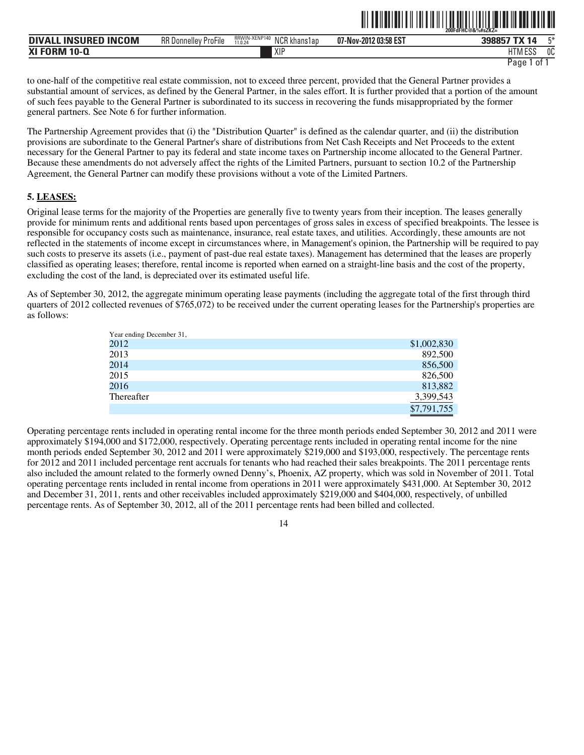| . INSURED INCOM<br><b>DIVAL</b> | $-\cdot$ .<br>RR D<br>∛ Donnellev ProFile | RRWIN-XENP140<br>NCR <sub>k</sub><br>khanslap<br>11.0.24 | 07-Nov-2012 03:58 EST | TV <sub>4</sub><br>398857 | 口米 |
|---------------------------------|-------------------------------------------|----------------------------------------------------------|-----------------------|---------------------------|----|
| <b>XI FORM 10-Q</b>             |                                           | XIF                                                      |                       | 11T11F00<br>11M ESS       | 0C |

ˆ200FdFHC@&%#sZKZ=Š

to one-half of the competitive real estate commission, not to exceed three percent, provided that the General Partner provides a substantial amount of services, as defined by the General Partner, in the sales effort. It is further provided that a portion of the amount of such fees payable to the General Partner is subordinated to its success in recovering the funds misappropriated by the former general partners. See Note 6 for further information.

The Partnership Agreement provides that (i) the "Distribution Quarter" is defined as the calendar quarter, and (ii) the distribution provisions are subordinate to the General Partner's share of distributions from Net Cash Receipts and Net Proceeds to the extent necessary for the General Partner to pay its federal and state income taxes on Partnership income allocated to the General Partner. Because these amendments do not adversely affect the rights of the Limited Partners, pursuant to section 10.2 of the Partnership Agreement, the General Partner can modify these provisions without a vote of the Limited Partners.

#### **5. LEASES:**

Original lease terms for the majority of the Properties are generally five to twenty years from their inception. The leases generally provide for minimum rents and additional rents based upon percentages of gross sales in excess of specified breakpoints. The lessee is responsible for occupancy costs such as maintenance, insurance, real estate taxes, and utilities. Accordingly, these amounts are not reflected in the statements of income except in circumstances where, in Management's opinion, the Partnership will be required to pay such costs to preserve its assets (i.e., payment of past-due real estate taxes). Management has determined that the leases are properly classified as operating leases; therefore, rental income is reported when earned on a straight-line basis and the cost of the property, excluding the cost of the land, is depreciated over its estimated useful life.

As of September 30, 2012, the aggregate minimum operating lease payments (including the aggregate total of the first through third quarters of 2012 collected revenues of \$765,072) to be received under the current operating leases for the Partnership's properties are as follows:

| Year ending December 31, |             |
|--------------------------|-------------|
| 2012                     | \$1,002,830 |
| 2013                     | 892,500     |
| 2014                     | 856,500     |
| 2015                     | 826,500     |
| 2016                     | 813,882     |
| Thereafter               | 3,399,543   |
|                          | \$7,791,755 |

Operating percentage rents included in operating rental income for the three month periods ended September 30, 2012 and 2011 were approximately \$194,000 and \$172,000, respectively. Operating percentage rents included in operating rental income for the nine month periods ended September 30, 2012 and 2011 were approximately \$219,000 and \$193,000, respectively. The percentage rents for 2012 and 2011 included percentage rent accruals for tenants who had reached their sales breakpoints. The 2011 percentage rents also included the amount related to the formerly owned Denny's, Phoenix, AZ property, which was sold in November of 2011. Total operating percentage rents included in rental income from operations in 2011 were approximately \$431,000. At September 30, 2012 and December 31, 2011, rents and other receivables included approximately \$219,000 and \$404,000, respectively, of unbilled percentage rents. As of September 30, 2012, all of the 2011 percentage rents had been billed and collected.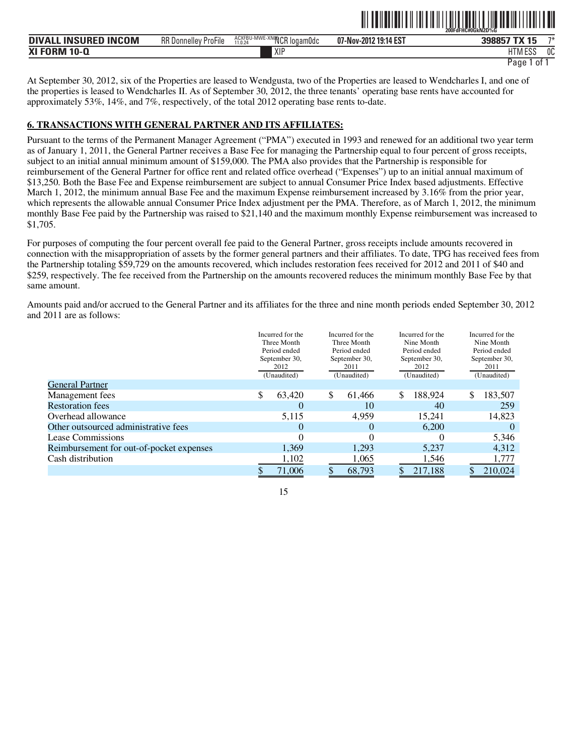| DIVALL INSURED<br><b>INCOM</b> | <b>RR Donnelley ProFile</b> | ACXFBU-MWE-<br>E-XNOOCR<br>`logam0dc<br>11.0.24 | 07-Nov-2012 19:14 EST | TV 1C<br>398857                   | $7*$ |
|--------------------------------|-----------------------------|-------------------------------------------------|-----------------------|-----------------------------------|------|
| XI FORM 10-Q                   |                             | XIP                                             |                       | <b>I ITRA FOO</b><br>1 I IVI E D. | 0C   |

ˆ200FdFHC#0GkN2D%GŠ

At September 30, 2012, six of the Properties are leased to Wendgusta, two of the Properties are leased to Wendcharles I, and one of the properties is leased to Wendcharles II. As of September 30, 2012, the three tenants' operating base rents have accounted for approximately 53%, 14%, and 7%, respectively, of the total 2012 operating base rents to-date.

## **6. TRANSACTIONS WITH GENERAL PARTNER AND ITS AFFILIATES:**

Pursuant to the terms of the Permanent Manager Agreement ("PMA") executed in 1993 and renewed for an additional two year term as of January 1, 2011, the General Partner receives a Base Fee for managing the Partnership equal to four percent of gross receipts, subject to an initial annual minimum amount of \$159,000. The PMA also provides that the Partnership is responsible for reimbursement of the General Partner for office rent and related office overhead ("Expenses") up to an initial annual maximum of \$13,250. Both the Base Fee and Expense reimbursement are subject to annual Consumer Price Index based adjustments. Effective March 1, 2012, the minimum annual Base Fee and the maximum Expense reimbursement increased by 3.16% from the prior year, which represents the allowable annual Consumer Price Index adjustment per the PMA. Therefore, as of March 1, 2012, the minimum monthly Base Fee paid by the Partnership was raised to \$21,140 and the maximum monthly Expense reimbursement was increased to \$1,705.

For purposes of computing the four percent overall fee paid to the General Partner, gross receipts include amounts recovered in connection with the misappropriation of assets by the former general partners and their affiliates. To date, TPG has received fees from the Partnership totaling \$59,729 on the amounts recovered, which includes restoration fees received for 2012 and 2011 of \$40 and \$259, respectively. The fee received from the Partnership on the amounts recovered reduces the minimum monthly Base Fee by that same amount.

Amounts paid and/or accrued to the General Partner and its affiliates for the three and nine month periods ended September 30, 2012 and 2011 are as follows:

| Period ended<br>September 30,<br>2011 | Nine Month<br>Period ended<br>September 30,<br>2012 | Nine Month<br>Period ended<br>September 30,<br>2011 |
|---------------------------------------|-----------------------------------------------------|-----------------------------------------------------|
|                                       | (Unaudited)                                         | (Unaudited)                                         |
|                                       |                                                     |                                                     |
| \$<br>61,466                          | \$<br>188.924                                       | \$<br>183,507                                       |
| 10                                    | 40                                                  | 259                                                 |
| 4,959                                 | 15,241                                              | 14,823                                              |
|                                       | 6.200                                               | $\theta$                                            |
| 0                                     | $\mathbf{0}$                                        | 5,346                                               |
| 1,293                                 | 5,237                                               | 4,312                                               |
| 1,065                                 | 1,546                                               | 1,777                                               |
| 68,793                                | 217,188                                             | 210,024                                             |
|                                       | Three Month<br>(Unaudited)                          |                                                     |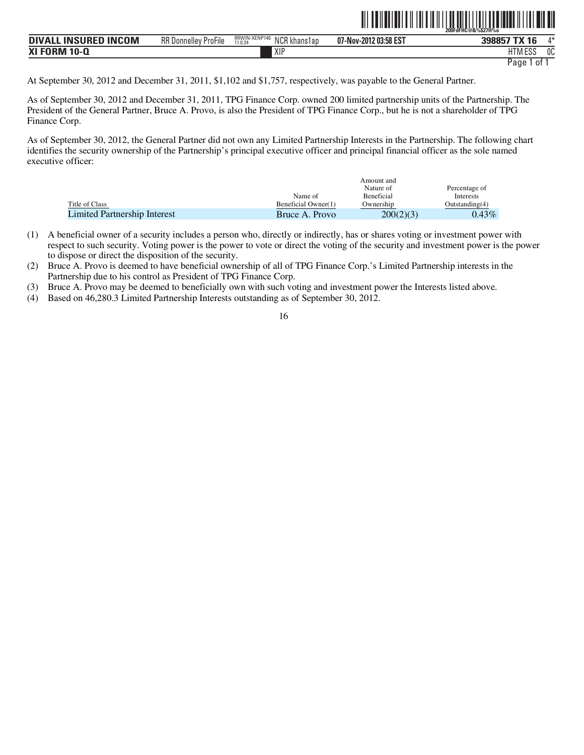|                                       |                             |                                                           |                       | 200FdFHC@&%\$27H%0                    |
|---------------------------------------|-----------------------------|-----------------------------------------------------------|-----------------------|---------------------------------------|
| <b>INSURED INCOM</b><br><b>DIVALL</b> | <b>RR Donnelley ProFile</b> | RRWIN-XENP140<br>$\cdot$ NCR $\nu$<br>khanslap<br>11.0.24 | 07-Nov-2012 03:58 EST | <b>TX 16</b><br>$\Lambda^*$<br>398857 |
| <b>XI FORM 10-Q</b>                   |                             | <b>XIP</b>                                                |                       | HTM ESS<br>0C                         |
|                                       |                             |                                                           |                       | Paqe<br>01                            |

ˆ200FdFHC@&%\$27H%oŠ **200FdFHC@&%\$27H%o**

At September 30, 2012 and December 31, 2011, \$1,102 and \$1,757, respectively, was payable to the General Partner.

As of September 30, 2012 and December 31, 2011, TPG Finance Corp. owned 200 limited partnership units of the Partnership. The President of the General Partner, Bruce A. Provo, is also the President of TPG Finance Corp., but he is not a shareholder of TPG Finance Corp.

As of September 30, 2012, the General Partner did not own any Limited Partnership Interests in the Partnership. The following chart identifies the security ownership of the Partnership's principal executive officer and principal financial officer as the sole named executive officer:

|                              | Amount and          |                   |                   |  |
|------------------------------|---------------------|-------------------|-------------------|--|
|                              |                     | Nature of         | Percentage of     |  |
|                              | Name of             | <b>Beneficial</b> | Interests         |  |
| Title of Class               | Beneficial Owner(1) | Ownership         | Outstanding $(4)$ |  |
| Limited Partnership Interest | Bruce A. Provo      | 200(2)(3)         | $0.43\%$          |  |

- (1) A beneficial owner of a security includes a person who, directly or indirectly, has or shares voting or investment power with respect to such security. Voting power is the power to vote or direct the voting of the security and investment power is the power to dispose or direct the disposition of the security.
- (2) Bruce A. Provo is deemed to have beneficial ownership of all of TPG Finance Corp.'s Limited Partnership interests in the Partnership due to his control as President of TPG Finance Corp.
- (3) Bruce A. Provo may be deemed to beneficially own with such voting and investment power the Interests listed above.
- (4) Based on 46,280.3 Limited Partnership Interests outstanding as of September 30, 2012.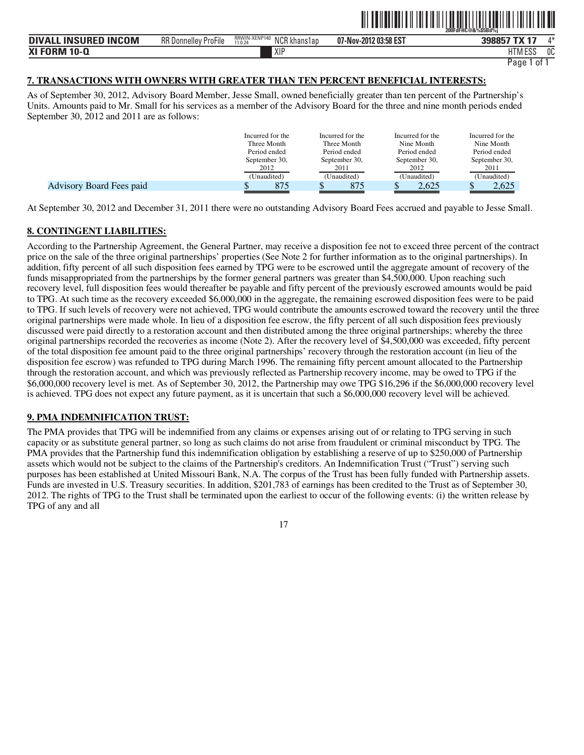|                                  |                             |                                                  |                       | 200FdFHC@&%\$5Bd%i |      |
|----------------------------------|-----------------------------|--------------------------------------------------|-----------------------|--------------------|------|
| . INSURED INCOM<br><b>DIVALL</b> | <b>RR Donnelley ProFile</b> | RRWIN-XENP140<br>NCR k'<br>l khans1ap<br>11.0.24 | 07-Nov-2012 03:58 EST | 398857 TX 17       | $A*$ |
| <b>XI FORM 10-Q</b>              |                             | XIF                                              |                       | 11T11F00<br>HIMEDS | 0C   |

```
Page 1 of 1
```
ˆ200FdFHC@&%\$5Bd%jŠ **200FdFHC@&%\$5Bd%j**

## **7. TRANSACTIONS WITH OWNERS WITH GREATER THAN TEN PERCENT BENEFICIAL INTERESTS:**

As of September 30, 2012, Advisory Board Member, Jesse Small, owned beneficially greater than ten percent of the Partnership's Units. Amounts paid to Mr. Small for his services as a member of the Advisory Board for the three and nine month periods ended September 30, 2012 and 2011 are as follows:

|                          | Incurred for the<br>Three Month<br>Period ended<br>September 30,<br>2012 | Incurred for the<br>Three Month<br>Period ended<br>September 30,<br>2011 | Incurred for the<br>Nine Month<br>Period ended<br>September 30,<br>2012 | Incurred for the<br>Nine Month<br>Period ended<br>September 30,<br>2011 |
|--------------------------|--------------------------------------------------------------------------|--------------------------------------------------------------------------|-------------------------------------------------------------------------|-------------------------------------------------------------------------|
|                          | (Unaudited)                                                              | (Unaudited)                                                              | (Unaudited)                                                             | (Unaudited)                                                             |
| Advisory Board Fees paid | 875                                                                      | 875                                                                      | 2.625                                                                   | 2.625                                                                   |

At September 30, 2012 and December 31, 2011 there were no outstanding Advisory Board Fees accrued and payable to Jesse Small.

## **8. CONTINGENT LIABILITIES:**

According to the Partnership Agreement, the General Partner, may receive a disposition fee not to exceed three percent of the contract price on the sale of the three original partnerships' properties (See Note 2 for further information as to the original partnerships). In addition, fifty percent of all such disposition fees earned by TPG were to be escrowed until the aggregate amount of recovery of the funds misappropriated from the partnerships by the former general partners was greater than \$4,500,000. Upon reaching such recovery level, full disposition fees would thereafter be payable and fifty percent of the previously escrowed amounts would be paid to TPG. At such time as the recovery exceeded \$6,000,000 in the aggregate, the remaining escrowed disposition fees were to be paid to TPG. If such levels of recovery were not achieved, TPG would contribute the amounts escrowed toward the recovery until the three original partnerships were made whole. In lieu of a disposition fee escrow, the fifty percent of all such disposition fees previously discussed were paid directly to a restoration account and then distributed among the three original partnerships; whereby the three original partnerships recorded the recoveries as income (Note 2). After the recovery level of  $$4,500,000$  was exceeded, fifty percent of the total disposition fee amount paid to the three original partnerships' recovery through the restoration account (in lieu of the disposition fee escrow) was refunded to TPG during March 1996. The remaining fifty percent amount allocated to the Partnership through the restoration account, and which was previously reflected as Partnership recovery income, may be owed to TPG if the \$6,000,000 recovery level is met. As of September 30, 2012, the Partnership may owe TPG \$16,296 if the \$6,000,000 recovery level is achieved. TPG does not expect any future payment, as it is uncertain that such a \$6,000,000 recovery level will be achieved.

## **9. PMA INDEMNIFICATION TRUST:**

The PMA provides that TPG will be indemnified from any claims or expenses arising out of or relating to TPG serving in such capacity or as substitute general partner, so long as such claims do not arise from fraudulent or criminal misconduct by TPG. The PMA provides that the Partnership fund this indemnification obligation by establishing a reserve of up to \$250,000 of Partnership assets which would not be subject to the claims of the Partnership's creditors. An Indemnification Trust ("Trust") serving such purposes has been established at United Missouri Bank, N.A. The corpus of the Trust has been fully funded with Partnership assets. Funds are invested in U.S. Treasury securities. In addition, \$201,783 of earnings has been credited to the Trust as of September 30, 2012. The rights of TPG to the Trust shall be terminated upon the earliest to occur of the following events: (i) the written release by TPG of any and all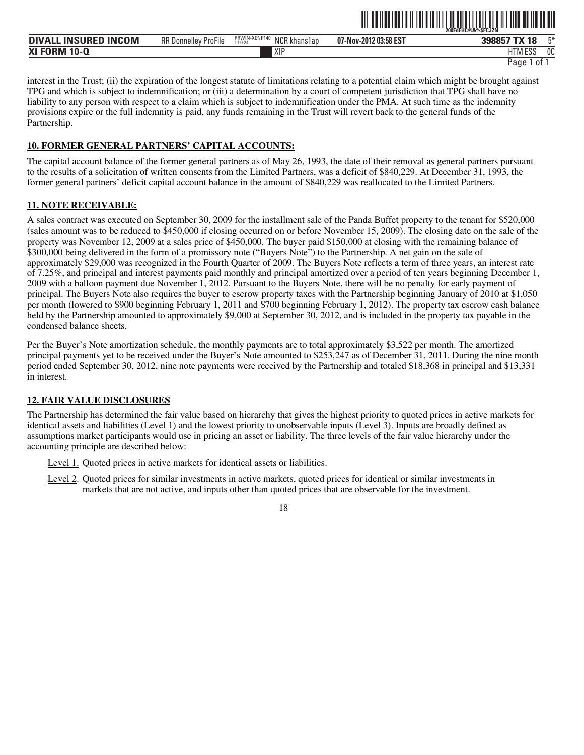|                                                      |                                          |                                                 | ----<br>--------------- | 200FdFHC@&%SFCJZN         |    |
|------------------------------------------------------|------------------------------------------|-------------------------------------------------|-------------------------|---------------------------|----|
| <b>INCOM</b><br><b>INSURFD</b><br><b>DIVALL</b><br>. | $-1$<br><b>RR</b> Donnelley<br>' ProFile | RRWIN-XENP140<br>NCR k<br>' khans1an<br>11.0.24 | 07-Nov-2012 03:58 EST   | <b>TV 10</b><br>ю         | F¥ |
| <b>XI FORM</b><br>$10 - C$                           |                                          | XIP                                             |                         | $11.788$ $FAA$<br>۱۱۷۱ Lu | 0C |

ˆ200FdFHC@&%\$FCJZNŠ **200FdFHC@&%\$FCJZN**

interest in the Trust; (ii) the expiration of the longest statute of limitations relating to a potential claim which might be brought against TPG and which is subject to indemnification; or (iii) a determination by a court of competent jurisdiction that TPG shall have no liability to any person with respect to a claim which is subject to indemnification under the PMA. At such time as the indemnity provisions expire or the full indemnity is paid, any funds remaining in the Trust will revert back to the general funds of the Partnership.

## **10. FORMER GENERAL PARTNERS' CAPITAL ACCOUNTS:**

The capital account balance of the former general partners as of May 26, 1993, the date of their removal as general partners pursuant to the results of a solicitation of written consents from the Limited Partners, was a deficit of \$840,229. At December 31, 1993, the former general partners' deficit capital account balance in the amount of \$840,229 was reallocated to the Limited Partners.

## **11. NOTE RECEIVABLE:**

A sales contract was executed on September 30, 2009 for the installment sale of the Panda Buffet property to the tenant for \$520,000 (sales amount was to be reduced to \$450,000 if closing occurred on or before November 15, 2009). The closing date on the sale of the property was November 12, 2009 at a sales price of \$450,000. The buyer paid \$150,000 at closing with the remaining balance of \$300,000 being delivered in the form of a promissory note ("Buyers Note") to the Partnership. A net gain on the sale of approximately \$29,000 was recognized in the Fourth Quarter of 2009. The Buyers Note reflects a term of three years, an interest rate of 7.25%, and principal and interest payments paid monthly and principal amortized over a period of ten years beginning December 1, 2009 with a balloon payment due November 1, 2012. Pursuant to the Buyers Note, there will be no penalty for early payment of principal. The Buyers Note also requires the buyer to escrow property taxes with the Partnership beginning January of 2010 at \$1,050 per month (lowered to \$900 beginning February 1, 2011 and \$700 beginning February 1, 2012). The property tax escrow cash balance held by the Partnership amounted to approximately \$9,000 at September 30, 2012, and is included in the property tax payable in the condensed balance sheets.

Per the Buyer's Note amortization schedule, the monthly payments are to total approximately \$3,522 per month. The amortized principal payments yet to be received under the Buyer's Note amounted to \$253,247 as of December 31, 2011. During the nine month period ended September 30, 2012, nine note payments were received by the Partnership and totaled \$18,368 in principal and \$13,331 in interest.

#### **12. FAIR VALUE DISCLOSURES**

The Partnership has determined the fair value based on hierarchy that gives the highest priority to quoted prices in active markets for identical assets and liabilities (Level 1) and the lowest priority to unobservable inputs (Level 3). Inputs are broadly defined as assumptions market participants would use in pricing an asset or liability. The three levels of the fair value hierarchy under the accounting principle are described below:

Level 1. Quoted prices in active markets for identical assets or liabilities.

Level 2. Quoted prices for similar investments in active markets, quoted prices for identical or similar investments in markets that are not active, and inputs other than quoted prices that are observable for the investment.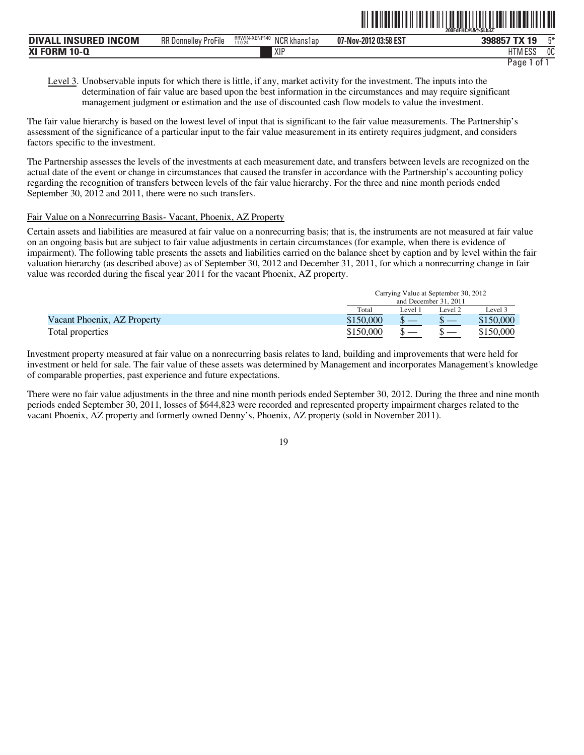|                                                        |                                       |                                               |                       | 200FdFHC@&%\$Lb3Z`                       |    |
|--------------------------------------------------------|---------------------------------------|-----------------------------------------------|-----------------------|------------------------------------------|----|
| <b>INCOM</b><br><b>INSILRED</b><br><b>DIVA</b><br>- IN | $-$<br><b>RR</b> Donnelley<br>ProFile | RRWIN-XENP140<br>NCR<br>l khans1ap<br>11.0.24 | 07-Nov-2012 03:58 EST | $-11$<br><b>3088Ľ</b><br>$\overline{a}$  | r* |
| <b>XI FORM</b><br>$10-L$                               |                                       | XIP                                           |                       | <b>LITM FOO</b><br>. .<br>. ועוור<br>Luc | OC |

ˆ200FdFHC@&%\$Lb3ZÁŠ **200FdFHC@&%\$Lb3Z`**

Level 3. Unobservable inputs for which there is little, if any, market activity for the investment. The inputs into the determination of fair value are based upon the best information in the circumstances and may require significant management judgment or estimation and the use of discounted cash flow models to value the investment.

The fair value hierarchy is based on the lowest level of input that is significant to the fair value measurements. The Partnership's assessment of the significance of a particular input to the fair value measurement in its entirety requires judgment, and considers factors specific to the investment.

The Partnership assesses the levels of the investments at each measurement date, and transfers between levels are recognized on the actual date of the event or change in circumstances that caused the transfer in accordance with the Partnership's accounting policy regarding the recognition of transfers between levels of the fair value hierarchy. For the three and nine month periods ended September 30, 2012 and 2011, there were no such transfers.

#### Fair Value on a Nonrecurring Basis- Vacant, Phoenix, AZ Property

Certain assets and liabilities are measured at fair value on a nonrecurring basis; that is, the instruments are not measured at fair value on an ongoing basis but are subject to fair value adjustments in certain circumstances (for example, when there is evidence of impairment). The following table presents the assets and liabilities carried on the balance sheet by caption and by level within the fair valuation hierarchy (as described above) as of September 30, 2012 and December 31, 2011, for which a nonrecurring change in fair value was recorded during the fiscal year 2011 for the vacant Phoenix, AZ property.

|                             |           | Carrying Value at September 30, 2012 |         |           |  |
|-----------------------------|-----------|--------------------------------------|---------|-----------|--|
|                             |           | and December 31, 2011                |         |           |  |
|                             | Total     | Level 1                              | Level 2 | Level 3   |  |
| Vacant Phoenix, AZ Property | \$150,000 |                                      |         | \$150,000 |  |
| Total properties            | \$150,000 |                                      |         | \$150.000 |  |

Investment property measured at fair value on a nonrecurring basis relates to land, building and improvements that were held for investment or held for sale. The fair value of these assets was determined by Management and incorporates Management's knowledge of comparable properties, past experience and future expectations.

There were no fair value adjustments in the three and nine month periods ended September 30, 2012. During the three and nine month periods ended September 30, 2011, losses of \$644,823 were recorded and represented property impairment charges related to the vacant Phoenix, AZ property and formerly owned Denny's, Phoenix, AZ property (sold in November 2011).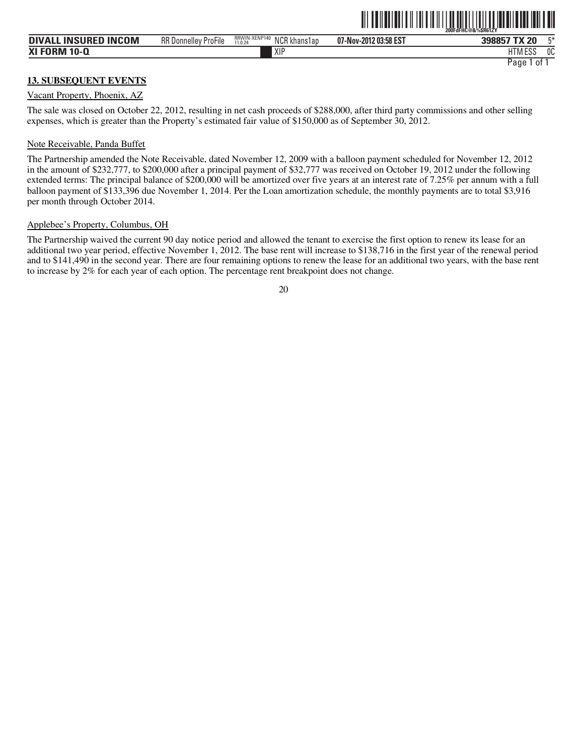|                             |                             |                                                   |                       | 200FdFHC@&%SR61ZY    |    |
|-----------------------------|-----------------------------|---------------------------------------------------|-----------------------|----------------------|----|
| <b>DIVALL INSURED INCOM</b> | <b>RR Donnelley ProFile</b> | RRWIN-XENP140<br>NCR kl<br>.K khans1ap<br>11.0.24 | 07-Nov-2012 03:58 EST | 398857 TX 20         | E* |
| <b>XI FORM 10-Q</b>         |                             | XIP                                               |                       | .500<br><b>HTMES</b> | 0C |
|                             |                             |                                                   |                       | Paqe<br>ot.          |    |

ˆ200FdFHC@&%\$R61ZYŠ **200FdFHC@&%\$R61ZY**

#### **13. SUBSEQUENT EVENTS**

#### Vacant Property, Phoenix, AZ

The sale was closed on October 22, 2012, resulting in net cash proceeds of \$288,000, after third party commissions and other selling expenses, which is greater than the Property's estimated fair value of \$150,000 as of September 30, 2012.

#### Note Receivable, Panda Buffet

The Partnership amended the Note Receivable, dated November 12, 2009 with a balloon payment scheduled for November 12, 2012 in the amount of \$232,777, to \$200,000 after a principal payment of \$32,777 was received on October 19, 2012 under the following extended terms: The principal balance of \$200,000 will be amortized over five years at an interest rate of 7.25% per annum with a full balloon payment of \$133,396 due November 1, 2014. Per the Loan amortization schedule, the monthly payments are to total \$3,916 per month through October 2014.

#### Applebee's Property, Columbus, OH

The Partnership waived the current 90 day notice period and allowed the tenant to exercise the first option to renew its lease for an additional two year period, effective November 1, 2012. The base rent will increase to \$138,716 in the first year of the renewal period and to \$141,490 in the second year. There are four remaining options to renew the lease for an additional two years, with the base rent to increase by 2% for each year of each option. The percentage rent breakpoint does not change.

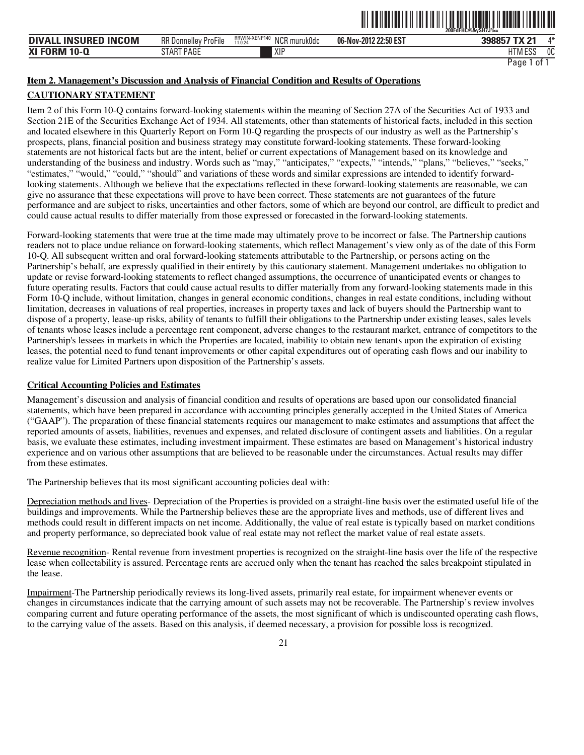|                      |                             |                                          |                       | IIII<br>200FdFHC@&vSH7J%= | <b>TIL III</b> |
|----------------------|-----------------------------|------------------------------------------|-----------------------|---------------------------|----------------|
| DIVALL INSURED INCOM | <b>RR Donnelley ProFile</b> | RRWIN-XENP140<br>NCR muruk0dc<br>11.0.24 | 06-Nov-2012 22:50 EST | 398857 TX 21              | A*             |
| XI FORM 10-Q         | START PAGE                  | XIP                                      |                       | <b>HTM ESS</b>            | 0C             |

# **Item 2. Management's Discussion and Analysis of Financial Condition and Results of Operations**

## **CAUTIONARY STATEMENT**

Item 2 of this Form 10-Q contains forward-looking statements within the meaning of Section 27A of the Securities Act of 1933 and Section 21E of the Securities Exchange Act of 1934. All statements, other than statements of historical facts, included in this section and located elsewhere in this Quarterly Report on Form 10-Q regarding the prospects of our industry as well as the Partnership's prospects, plans, financial position and business strategy may constitute forward-looking statements. These forward-looking statements are not historical facts but are the intent, belief or current expectations of Management based on its knowledge and understanding of the business and industry. Words such as "may," "anticipates," "expects," "intends," "plans," "believes," "seeks," "estimates," "would," "could," "should" and variations of these words and similar expressions are intended to identify forwardlooking statements. Although we believe that the expectations reflected in these forward-looking statements are reasonable, we can give no assurance that these expectations will prove to have been correct. These statements are not guarantees of the future performance and are subject to risks, uncertainties and other factors, some of which are beyond our control, are difficult to predict and could cause actual results to differ materially from those expressed or forecasted in the forward-looking statements.

Forward-looking statements that were true at the time made may ultimately prove to be incorrect or false. The Partnership cautions readers not to place undue reliance on forward-looking statements, which reflect Management's view only as of the date of this Form 10-Q. All subsequent written and oral forward-looking statements attributable to the Partnership, or persons acting on the Partnership's behalf, are expressly qualified in their entirety by this cautionary statement. Management undertakes no obligation to update or revise forward-looking statements to reflect changed assumptions, the occurrence of unanticipated events or changes to future operating results. Factors that could cause actual results to differ materially from any forward-looking statements made in this Form 10-Q include, without limitation, changes in general economic conditions, changes in real estate conditions, including without limitation, decreases in valuations of real properties, increases in property taxes and lack of buyers should the Partnership want to dispose of a property, lease-up risks, ability of tenants to fulfill their obligations to the Partnership under existing leases, sales levels of tenants whose leases include a percentage rent component, adverse changes to the restaurant market, entrance of competitors to the Partnership's lessees in markets in which the Properties are located, inability to obtain new tenants upon the expiration of existing leases, the potential need to fund tenant improvements or other capital expenditures out of operating cash flows and our inability to realize value for Limited Partners upon disposition of the Partnership's assets.

#### **Critical Accounting Policies and Estimates**

Management's discussion and analysis of financial condition and results of operations are based upon our consolidated financial statements, which have been prepared in accordance with accounting principles generally accepted in the United States of America ("GAAP"). The preparation of these financial statements requires our management to make estimates and assumptions that affect the reported amounts of assets, liabilities, revenues and expenses, and related disclosure of contingent assets and liabilities. On a regular basis, we evaluate these estimates, including investment impairment. These estimates are based on Management's historical industry experience and on various other assumptions that are believed to be reasonable under the circumstances. Actual results may differ from these estimates.

The Partnership believes that its most significant accounting policies deal with:

Depreciation methods and lives- Depreciation of the Properties is provided on a straight-line basis over the estimated useful life of the buildings and improvements. While the Partnership believes these are the appropriate lives and methods, use of different lives and methods could result in different impacts on net income. Additionally, the value of real estate is typically based on market conditions and property performance, so depreciated book value of real estate may not reflect the market value of real estate assets.

Revenue recognition- Rental revenue from investment properties is recognized on the straight-line basis over the life of the respective lease when collectability is assured. Percentage rents are accrued only when the tenant has reached the sales breakpoint stipulated in the lease.

Impairment-The Partnership periodically reviews its long-lived assets, primarily real estate, for impairment whenever events or changes in circumstances indicate that the carrying amount of such assets may not be recoverable. The Partnership's review involves comparing current and future operating performance of the assets, the most significant of which is undiscounted operating cash flows, to the carrying value of the assets. Based on this analysis, if deemed necessary, a provision for possible loss is recognized.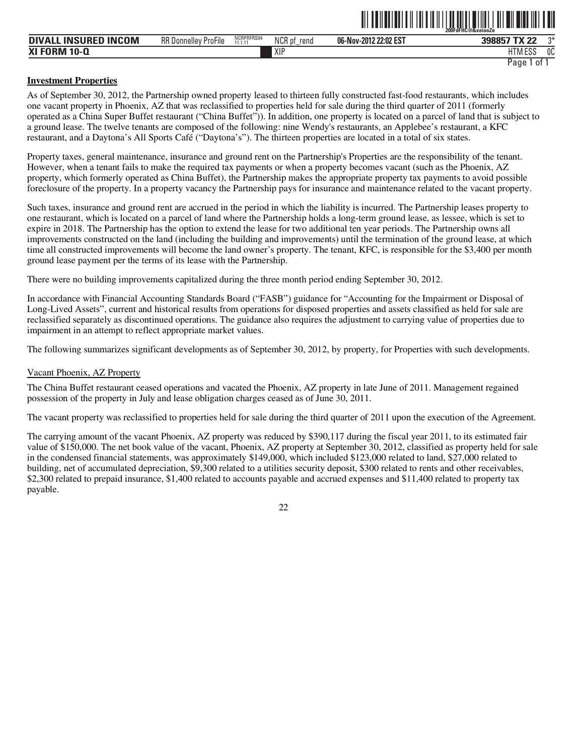|                                                |                             |                       |                |                       | 200FdFHC@&xeiooZe                                                   |                       |
|------------------------------------------------|-----------------------------|-----------------------|----------------|-----------------------|---------------------------------------------------------------------|-----------------------|
| <b>INCOM</b><br><b>INSURED</b><br><b>DIVA'</b> | <b>RR Donnelley ProFile</b> | NCRPRFRS04<br>11.1.11 | NCR pf<br>rena | 06-Nov-2012 22:02 EST | $-11$<br>n <sub>n</sub><br>398857<br>$\overline{\phantom{a}}$<br>∠∠ | $n*$                  |
| <b>XI FORM</b><br>$10 - 0$                     |                             |                       | XIP            |                       | <b>LITM FOO</b><br>HIM<br>LUC                                       | n <sub>n</sub><br>็บเ |
|                                                |                             |                       |                |                       | Page<br>0t                                                          |                       |

ˆ200FdFHC@&xeiooZeŠ **200FdFHC@&xeiooZe**

#### **Investment Properties**

As of September 30, 2012, the Partnership owned property leased to thirteen fully constructed fast-food restaurants, which includes one vacant property in Phoenix, AZ that was reclassified to properties held for sale during the third quarter of 2011 (formerly operated as a China Super Buffet restaurant ("China Buffet")). In addition, one property is located on a parcel of land that is subject to a ground lease. The twelve tenants are composed of the following: nine Wendy's restaurants, an Applebee's restaurant, a KFC restaurant, and a Daytona's All Sports Café ("Daytona's"). The thirteen properties are located in a total of six states.

Property taxes, general maintenance, insurance and ground rent on the Partnership's Properties are the responsibility of the tenant. However, when a tenant fails to make the required tax payments or when a property becomes vacant (such as the Phoenix, AZ property, which formerly operated as China Buffet), the Partnership makes the appropriate property tax payments to avoid possible foreclosure of the property. In a property vacancy the Partnership pays for insurance and maintenance related to the vacant property.

Such taxes, insurance and ground rent are accrued in the period in which the liability is incurred. The Partnership leases property to one restaurant, which is located on a parcel of land where the Partnership holds a long-term ground lease, as lessee, which is set to expire in 2018. The Partnership has the option to extend the lease for two additional ten year periods. The Partnership owns all improvements constructed on the land (including the building and improvements) until the termination of the ground lease, at which time all constructed improvements will become the land owner's property. The tenant, KFC, is responsible for the \$3,400 per month ground lease payment per the terms of its lease with the Partnership.

There were no building improvements capitalized during the three month period ending September 30, 2012.

In accordance with Financial Accounting Standards Board ("FASB") guidance for "Accounting for the Impairment or Disposal of Long-Lived Assets", current and historical results from operations for disposed properties and assets classified as held for sale are reclassified separately as discontinued operations. The guidance also requires the adjustment to carrying value of properties due to impairment in an attempt to reflect appropriate market values.

The following summarizes significant developments as of September 30, 2012, by property, for Properties with such developments.

#### Vacant Phoenix, AZ Property

The China Buffet restaurant ceased operations and vacated the Phoenix, AZ property in late June of 2011. Management regained possession of the property in July and lease obligation charges ceased as of June 30, 2011.

The vacant property was reclassified to properties held for sale during the third quarter of 2011 upon the execution of the Agreement.

The carrying amount of the vacant Phoenix, AZ property was reduced by \$390,117 during the fiscal year 2011, to its estimated fair value of \$150,000. The net book value of the vacant, Phoenix, AZ property at September 30, 2012, classified as property held for sale in the condensed financial statements, was approximately \$149,000, which included \$123,000 related to land, \$27,000 related to building, net of accumulated depreciation, \$9,300 related to a utilities security deposit, \$300 related to rents and other receivables, \$2,300 related to prepaid insurance, \$1,400 related to accounts payable and accrued expenses and \$11,400 related to property tax payable.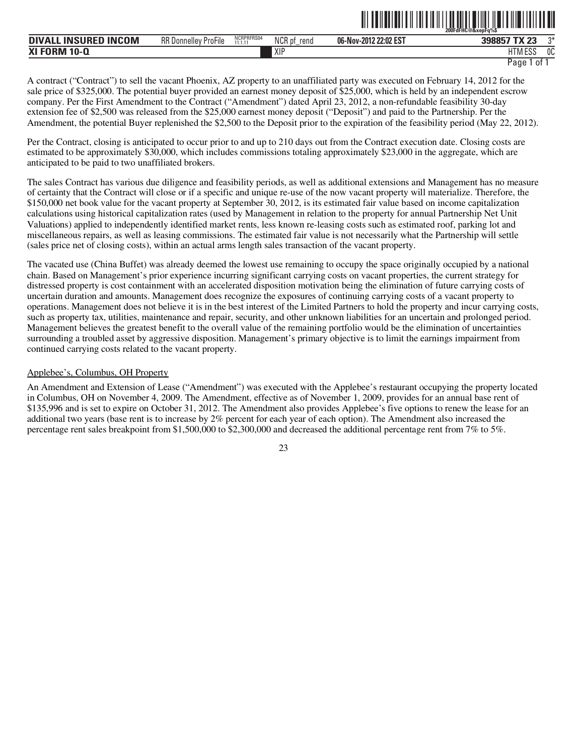|                                                              |                                          |                            |                     | ---<br>-------------  | 200FdFHC@&xepFq%\$        |      |
|--------------------------------------------------------------|------------------------------------------|----------------------------|---------------------|-----------------------|---------------------------|------|
| <b>INCOM</b><br><b>INSURFD.</b><br><b>DIVALL</b><br>,,,,,,,, | $-1$<br><b>RR</b> Donnelley<br>' ProFile | NCRPRFRS04<br>11 1 11<br>. | NCR pf<br>rend<br>- | 06-Nov-2012 22:02 EST | פס עדי<br>້               | $2*$ |
| <b>XI FORM</b><br>$10 - \Omega$                              |                                          |                            | XIP                 |                       | $11.788$ $FAA$<br>ט וועוו | 0C   |

ˆ200FdFHC@&xepFq%\$Š **200FdFHC@&xepFq%\$**

A contract ("Contract") to sell the vacant Phoenix, AZ property to an unaffiliated party was executed on February 14, 2012 for the sale price of \$325,000. The potential buyer provided an earnest money deposit of \$25,000, which is held by an independent escrow company. Per the First Amendment to the Contract ("Amendment") dated April 23, 2012, a non-refundable feasibility 30-day extension fee of \$2,500 was released from the \$25,000 earnest money deposit ("Deposit") and paid to the Partnership. Per the Amendment, the potential Buyer replenished the \$2,500 to the Deposit prior to the expiration of the feasibility period (May 22, 2012).

Per the Contract, closing is anticipated to occur prior to and up to 210 days out from the Contract execution date. Closing costs are estimated to be approximately \$30,000, which includes commissions totaling approximately \$23,000 in the aggregate, which are anticipated to be paid to two unaffiliated brokers.

The sales Contract has various due diligence and feasibility periods, as well as additional extensions and Management has no measure of certainty that the Contract will close or if a specific and unique re-use of the now vacant property will materialize. Therefore, the \$150,000 net book value for the vacant property at September 30, 2012, is its estimated fair value based on income capitalization calculations using historical capitalization rates (used by Management in relation to the property for annual Partnership Net Unit Valuations) applied to independently identified market rents, less known re-leasing costs such as estimated roof, parking lot and miscellaneous repairs, as well as leasing commissions. The estimated fair value is not necessarily what the Partnership will settle (sales price net of closing costs), within an actual arms length sales transaction of the vacant property.

The vacated use (China Buffet) was already deemed the lowest use remaining to occupy the space originally occupied by a national chain. Based on Management's prior experience incurring significant carrying costs on vacant properties, the current strategy for distressed property is cost containment with an accelerated disposition motivation being the elimination of future carrying costs of uncertain duration and amounts. Management does recognize the exposures of continuing carrying costs of a vacant property to operations. Management does not believe it is in the best interest of the Limited Partners to hold the property and incur carrying costs, such as property tax, utilities, maintenance and repair, security, and other unknown liabilities for an uncertain and prolonged period. Management believes the greatest benefit to the overall value of the remaining portfolio would be the elimination of uncertainties surrounding a troubled asset by aggressive disposition. Management's primary objective is to limit the earnings impairment from continued carrying costs related to the vacant property.

#### Applebee's, Columbus, OH Property

An Amendment and Extension of Lease ("Amendment") was executed with the Applebee's restaurant occupying the property located in Columbus, OH on November 4, 2009. The Amendment, effective as of November 1, 2009, provides for an annual base rent of \$135,996 and is set to expire on October 31, 2012. The Amendment also provides Applebee's five options to renew the lease for an additional two years (base rent is to increase by 2% percent for each year of each option). The Amendment also increased the percentage rent sales breakpoint from \$1,500,000 to \$2,300,000 and decreased the additional percentage rent from 7% to 5%.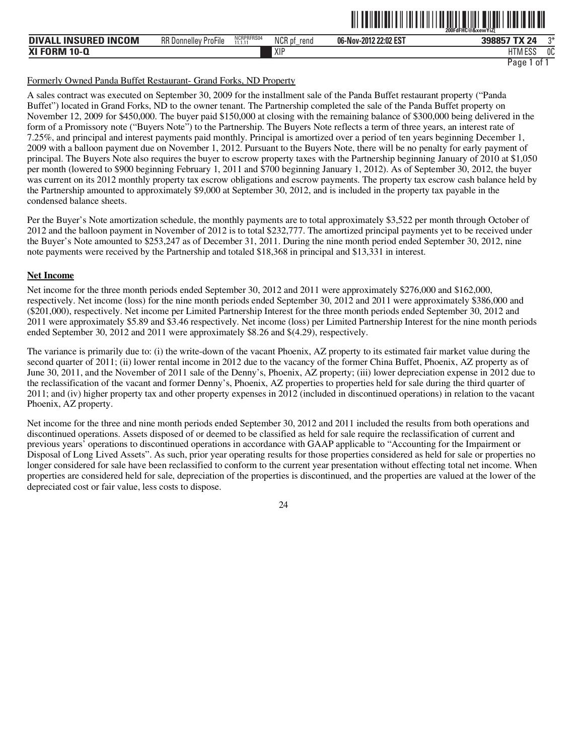|                                  |                             |                       |                          |                       | 200FdFHC@&xewYiZT    |    |
|----------------------------------|-----------------------------|-----------------------|--------------------------|-----------------------|----------------------|----|
| . INSURED INCOM<br><b>DIVALL</b> | <b>RR Donnelley ProFile</b> | NCRPRFRS04<br>11.1.11 | <b>NCR</b><br>rend<br>า⊌ | 06-Nov-2012 22:02 EST | 39885<br>57 TX 24    | ግ* |
| <b>XI FORM 10-Q</b>              |                             |                       | XIF                      |                       | 1.000<br>הכם ועו ו ח | 0C |

ˆ200FdFHC@&xewYiZ[Š **200FdFHC@&xewYiZ[** 

#### Formerly Owned Panda Buffet Restaurant- Grand Forks, ND Property

A sales contract was executed on September 30, 2009 for the installment sale of the Panda Buffet restaurant property ("Panda Buffet") located in Grand Forks, ND to the owner tenant. The Partnership completed the sale of the Panda Buffet property on November 12, 2009 for \$450,000. The buyer paid \$150,000 at closing with the remaining balance of \$300,000 being delivered in the form of a Promissory note ("Buyers Note") to the Partnership. The Buyers Note reflects a term of three years, an interest rate of 7.25%, and principal and interest payments paid monthly. Principal is amortized over a period of ten years beginning December 1, 2009 with a balloon payment due on November 1, 2012. Pursuant to the Buyers Note, there will be no penalty for early payment of principal. The Buyers Note also requires the buyer to escrow property taxes with the Partnership beginning January of 2010 at \$1,050 per month (lowered to \$900 beginning February 1, 2011 and \$700 beginning January 1, 2012). As of September 30, 2012, the buyer was current on its 2012 monthly property tax escrow obligations and escrow payments. The property tax escrow cash balance held by the Partnership amounted to approximately \$9,000 at September 30, 2012, and is included in the property tax payable in the condensed balance sheets.

Per the Buyer's Note amortization schedule, the monthly payments are to total approximately \$3,522 per month through October of 2012 and the balloon payment in November of 2012 is to total \$232,777. The amortized principal payments yet to be received under the Buyer's Note amounted to \$253,247 as of December 31, 2011. During the nine month period ended September 30, 2012, nine note payments were received by the Partnership and totaled \$18,368 in principal and \$13,331 in interest.

#### **Net Income**

Net income for the three month periods ended September 30, 2012 and 2011 were approximately \$276,000 and \$162,000, respectively. Net income (loss) for the nine month periods ended September 30, 2012 and 2011 were approximately \$386,000 and (\$201,000), respectively. Net income per Limited Partnership Interest for the three month periods ended September 30, 2012 and 2011 were approximately \$5.89 and \$3.46 respectively. Net income (loss) per Limited Partnership Interest for the nine month periods ended September 30, 2012 and 2011 were approximately \$8.26 and \$(4.29), respectively.

The variance is primarily due to: (i) the write-down of the vacant Phoenix, AZ property to its estimated fair market value during the second quarter of 2011; (ii) lower rental income in 2012 due to the vacancy of the former China Buffet, Phoenix, AZ property as of June 30, 2011, and the November of 2011 sale of the Denny's, Phoenix, AZ property; (iii) lower depreciation expense in 2012 due to the reclassification of the vacant and former Denny's, Phoenix, AZ properties to properties held for sale during the third quarter of 2011; and (iv) higher property tax and other property expenses in 2012 (included in discontinued operations) in relation to the vacant Phoenix, AZ property.

Net income for the three and nine month periods ended September 30, 2012 and 2011 included the results from both operations and discontinued operations. Assets disposed of or deemed to be classified as held for sale require the reclassification of current and previous years' operations to discontinued operations in accordance with GAAP applicable to "Accounting for the Impairment or Disposal of Long Lived Assets". As such, prior year operating results for those properties considered as held for sale or properties no longer considered for sale have been reclassified to conform to the current year presentation without effecting total net income. When properties are considered held for sale, depreciation of the properties is discontinued, and the properties are valued at the lower of the depreciated cost or fair value, less costs to dispose.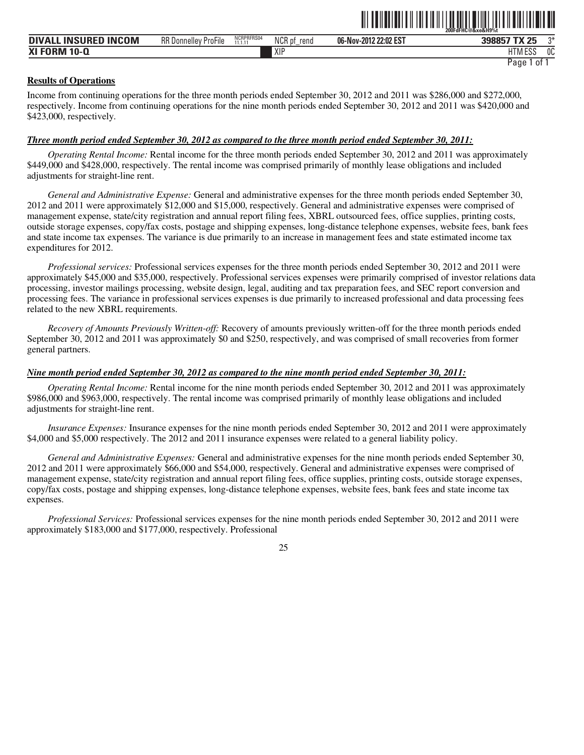|                                 |                             |                       |                             | ---------             | 200FdFHC@&xe&H9%t            |    |
|---------------------------------|-----------------------------|-----------------------|-----------------------------|-----------------------|------------------------------|----|
| . INSURED INCOM<br><b>DIVAI</b> | <b>RR Donnelley ProFile</b> | NCRPRFRS04<br>11.1.11 | <b>NCR</b><br>'K pt<br>rend | 06-Nov-2012 22:02 EST | 398857 TX 25                 | ግ* |
| <b>XI FORM 10-Q</b>             |                             |                       | XIP                         |                       | <b>LITA A FOO</b><br>11M ESS | 0C |
|                                 |                             |                       |                             |                       | 0t<br>Page                   |    |

TIL TON TILLIN IN IN TILLIN TILLIN TIIN IN DIT IN DIT IN DIT IN

#### **Results of Operations**

Income from continuing operations for the three month periods ended September 30, 2012 and 2011 was \$286,000 and \$272,000, respectively. Income from continuing operations for the nine month periods ended September 30, 2012 and 2011 was \$420,000 and \$423,000, respectively.

#### *Three month period ended September 30, 2012 as compared to the three month period ended September 30, 2011:*

*Operating Rental Income:* Rental income for the three month periods ended September 30, 2012 and 2011 was approximately \$449,000 and \$428,000, respectively. The rental income was comprised primarily of monthly lease obligations and included adjustments for straight-line rent.

*General and Administrative Expense:* General and administrative expenses for the three month periods ended September 30, 2012 and 2011 were approximately \$12,000 and \$15,000, respectively. General and administrative expenses were comprised of management expense, state/city registration and annual report filing fees, XBRL outsourced fees, office supplies, printing costs, outside storage expenses, copy/fax costs, postage and shipping expenses, long-distance telephone expenses, website fees, bank fees and state income tax expenses. The variance is due primarily to an increase in management fees and state estimated income tax expenditures for 2012.

*Professional services:* Professional services expenses for the three month periods ended September 30, 2012 and 2011 were approximately \$45,000 and \$35,000, respectively. Professional services expenses were primarily comprised of investor relations data processing, investor mailings processing, website design, legal, auditing and tax preparation fees, and SEC report conversion and processing fees. The variance in professional services expenses is due primarily to increased professional and data processing fees related to the new XBRL requirements.

*Recovery of Amounts Previously Written-off:* Recovery of amounts previously written-off for the three month periods ended September 30, 2012 and 2011 was approximately \$0 and \$250, respectively, and was comprised of small recoveries from former general partners.

#### *Nine month period ended September 30, 2012 as compared to the nine month period ended September 30, 2011:*

*Operating Rental Income:* Rental income for the nine month periods ended September 30, 2012 and 2011 was approximately \$986,000 and \$963,000, respectively. The rental income was comprised primarily of monthly lease obligations and included adjustments for straight-line rent.

*Insurance Expenses:* Insurance expenses for the nine month periods ended September 30, 2012 and 2011 were approximately \$4,000 and \$5,000 respectively. The 2012 and 2011 insurance expenses were related to a general liability policy.

*General and Administrative Expenses:* General and administrative expenses for the nine month periods ended September 30, 2012 and 2011 were approximately \$66,000 and \$54,000, respectively. General and administrative expenses were comprised of management expense, state/city registration and annual report filing fees, office supplies, printing costs, outside storage expenses, copy/fax costs, postage and shipping expenses, long-distance telephone expenses, website fees, bank fees and state income tax expenses.

*Professional Services:* Professional services expenses for the nine month periods ended September 30, 2012 and 2011 were approximately \$183,000 and \$177,000, respectively. Professional

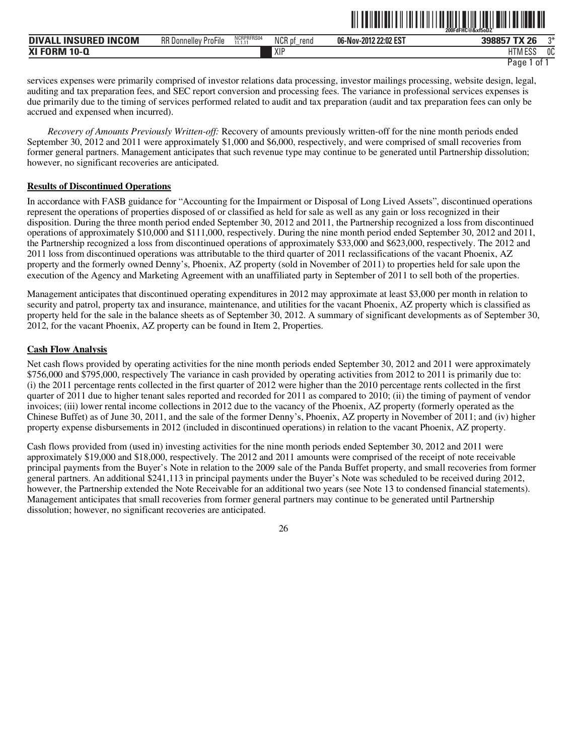|                                      |                                    |                       |                                      |                       | 200FdFHC@&xf5oDZ                    |    |
|--------------------------------------|------------------------------------|-----------------------|--------------------------------------|-----------------------|-------------------------------------|----|
| <b>INSURED INCOM</b><br><b>DIVAL</b> | $-$<br><b>RR Donnelley ProFile</b> | NCRPRFRS04<br>11 1 11 | <b>NICD</b><br>rend<br><b>NUR DI</b> | 06-Nov-2012 22:02 EST | <b>208857 TY 26</b><br>-26<br>ວວດວວ | ግ* |
| <b>XI FORM</b><br>$10 - Q$           |                                    |                       | XIF                                  |                       | 1.500<br>$1 - 1$<br>i ivi<br>LUL    | 0C |

ˆ200FdFHC@&xf5oDZÇŠ **200FdFHC@&xf5oDZ˙** 

services expenses were primarily comprised of investor relations data processing, investor mailings processing, website design, legal, auditing and tax preparation fees, and SEC report conversion and processing fees. The variance in professional services expenses is due primarily due to the timing of services performed related to audit and tax preparation (audit and tax preparation fees can only be accrued and expensed when incurred).

*Recovery of Amounts Previously Written-off:* Recovery of amounts previously written-off for the nine month periods ended September 30, 2012 and 2011 were approximately \$1,000 and \$6,000, respectively, and were comprised of small recoveries from former general partners. Management anticipates that such revenue type may continue to be generated until Partnership dissolution; however, no significant recoveries are anticipated.

#### **Results of Discontinued Operations**

In accordance with FASB guidance for "Accounting for the Impairment or Disposal of Long Lived Assets", discontinued operations represent the operations of properties disposed of or classified as held for sale as well as any gain or loss recognized in their disposition. During the three month period ended September 30, 2012 and 2011, the Partnership recognized a loss from discontinued operations of approximately \$10,000 and \$111,000, respectively. During the nine month period ended September 30, 2012 and 2011, the Partnership recognized a loss from discontinued operations of approximately \$33,000 and \$623,000, respectively. The 2012 and 2011 loss from discontinued operations was attributable to the third quarter of 2011 reclassifications of the vacant Phoenix, AZ property and the formerly owned Denny's, Phoenix, AZ property (sold in November of 2011) to properties held for sale upon the execution of the Agency and Marketing Agreement with an unaffiliated party in September of 2011 to sell both of the properties.

Management anticipates that discontinued operating expenditures in 2012 may approximate at least \$3,000 per month in relation to security and patrol, property tax and insurance, maintenance, and utilities for the vacant Phoenix, AZ property which is classified as property held for the sale in the balance sheets as of September 30, 2012. A summary of significant developments as of September 30, 2012, for the vacant Phoenix, AZ property can be found in Item 2, Properties.

#### **Cash Flow Analysis**

Net cash flows provided by operating activities for the nine month periods ended September 30, 2012 and 2011 were approximately \$756,000 and \$795,000, respectively The variance in cash provided by operating activities from 2012 to 2011 is primarily due to: (i) the 2011 percentage rents collected in the first quarter of 2012 were higher than the 2010 percentage rents collected in the first quarter of 2011 due to higher tenant sales reported and recorded for 2011 as compared to 2010; (ii) the timing of payment of vendor invoices; (iii) lower rental income collections in 2012 due to the vacancy of the Phoenix, AZ property (formerly operated as the Chinese Buffet) as of June 30, 2011, and the sale of the former Denny's, Phoenix, AZ property in November of 2011; and (iv) higher property expense disbursements in 2012 (included in discontinued operations) in relation to the vacant Phoenix, AZ property.

Cash flows provided from (used in) investing activities for the nine month periods ended September 30, 2012 and 2011 were approximately \$19,000 and \$18,000, respectively. The 2012 and 2011 amounts were comprised of the receipt of note receivable principal payments from the Buyer's Note in relation to the 2009 sale of the Panda Buffet property, and small recoveries from former general partners. An additional \$241,113 in principal payments under the Buyer's Note was scheduled to be received during 2012, however, the Partnership extended the Note Receivable for an additional two years (see Note 13 to condensed financial statements). Management anticipates that small recoveries from former general partners may continue to be generated until Partnership dissolution; however, no significant recoveries are anticipated.

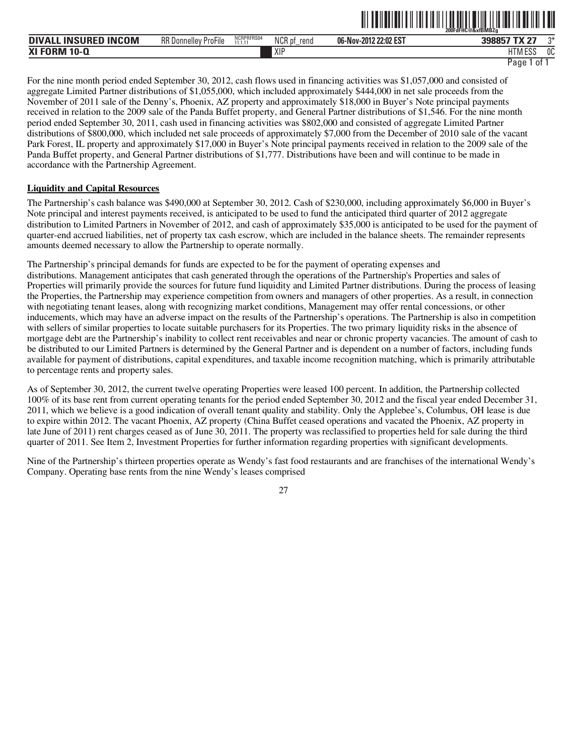|                                                                                |                                               |                       |                | ---------                  | 200FdFHC@&xfBMBZa           |               |
|--------------------------------------------------------------------------------|-----------------------------------------------|-----------------------|----------------|----------------------------|-----------------------------|---------------|
| <b>ICOM</b><br><b>DIVA</b><br><b>INSURED</b><br>IN <sub>0</sub><br>. IN:<br>-⊩ | $-$<br><b>RR</b> Donnel<br>' ProFile<br>۱۱۵۱٬ | NCRPRFRS04<br>11.1.11 | NCR pf<br>rend | -2012 22:02 EST<br>06-Nov- | T11.07<br>39885             | ግ*<br>$\cdot$ |
| XI FORM 10-<br>ш.                                                              |                                               |                       | XIP            |                            | IITMAFOR<br>டபட<br>11 I IVI | 0C            |

<u>oli od indijeli ili in oli ili ili od oli dilibi ili ili ili od ili od ili od il</u>

For the nine month period ended September 30, 2012, cash flows used in financing activities was \$1,057,000 and consisted of aggregate Limited Partner distributions of \$1,055,000, which included approximately \$444,000 in net sale proceeds from the November of 2011 sale of the Denny's, Phoenix, AZ property and approximately \$18,000 in Buyer's Note principal payments received in relation to the 2009 sale of the Panda Buffet property, and General Partner distributions of \$1,546. For the nine month period ended September 30, 2011, cash used in financing activities was \$802,000 and consisted of aggregate Limited Partner distributions of \$800,000, which included net sale proceeds of approximately \$7,000 from the December of 2010 sale of the vacant Park Forest, IL property and approximately \$17,000 in Buyer's Note principal payments received in relation to the 2009 sale of the Panda Buffet property, and General Partner distributions of \$1,777. Distributions have been and will continue to be made in accordance with the Partnership Agreement.

## **Liquidity and Capital Resources**

The Partnership's cash balance was \$490,000 at September 30, 2012. Cash of \$230,000, including approximately \$6,000 in Buyer's Note principal and interest payments received, is anticipated to be used to fund the anticipated third quarter of 2012 aggregate distribution to Limited Partners in November of 2012, and cash of approximately \$35,000 is anticipated to be used for the payment of quarter-end accrued liabilities, net of property tax cash escrow, which are included in the balance sheets. The remainder represents amounts deemed necessary to allow the Partnership to operate normally.

The Partnership's principal demands for funds are expected to be for the payment of operating expenses and distributions. Management anticipates that cash generated through the operations of the Partnership's Properties and sales of Properties will primarily provide the sources for future fund liquidity and Limited Partner distributions. During the process of leasing the Properties, the Partnership may experience competition from owners and managers of other properties. As a result, in connection with negotiating tenant leases, along with recognizing market conditions, Management may offer rental concessions, or other inducements, which may have an adverse impact on the results of the Partnership's operations. The Partnership is also in competition with sellers of similar properties to locate suitable purchasers for its Properties. The two primary liquidity risks in the absence of mortgage debt are the Partnership's inability to collect rent receivables and near or chronic property vacancies. The amount of cash to be distributed to our Limited Partners is determined by the General Partner and is dependent on a number of factors, including funds available for payment of distributions, capital expenditures, and taxable income recognition matching, which is primarily attributable to percentage rents and property sales.

As of September 30, 2012, the current twelve operating Properties were leased 100 percent. In addition, the Partnership collected 100% of its base rent from current operating tenants for the period ended September 30, 2012 and the fiscal year ended December 31, 2011, which we believe is a good indication of overall tenant quality and stability. Only the Applebee's, Columbus, OH lease is due to expire within 2012. The vacant Phoenix, AZ property (China Buffet ceased operations and vacated the Phoenix, AZ property in late June of 2011) rent charges ceased as of June 30, 2011. The property was reclassified to properties held for sale during the third quarter of 2011. See Item 2, Investment Properties for further information regarding properties with significant developments.

Nine of the Partnership's thirteen properties operate as Wendy's fast food restaurants and are franchises of the international Wendy's Company. Operating base rents from the nine Wendy's leases comprised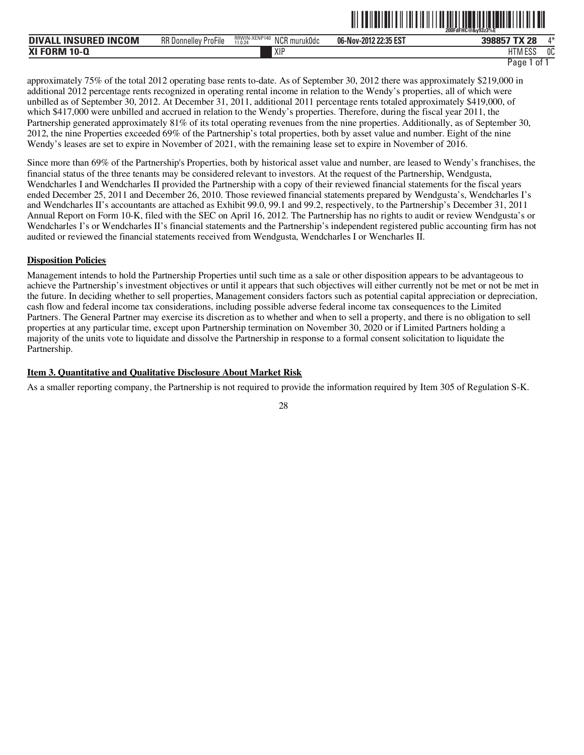|                                       |                             |                                          | - -- --- - -- -- -- - - - | 200FdFHC@&v93z3%E           |     |
|---------------------------------------|-----------------------------|------------------------------------------|---------------------------|-----------------------------|-----|
| <b>INSURED INCOM</b><br><b>DIVALL</b> | <b>RR Donnelley ProFile</b> | RRWIN-XENP140<br>NCR muruk0dc<br>11.0.24 | 06-Nov-2012 22:35 EST     | <b>TV 20</b><br>39885<br>ZС | ⁄l* |
| <b>XI FORM</b><br>$10 - Q$            |                             | XIF                                      |                           | 11T11F0C<br>IIM ESS         | 0C  |

ˆ200FdFHC@&y93z3%EŠ

approximately 75% of the total 2012 operating base rents to-date. As of September 30, 2012 there was approximately \$219,000 in additional 2012 percentage rents recognized in operating rental income in relation to the Wendy's properties, all of which were unbilled as of September 30, 2012. At December 31, 2011, additional 2011 percentage rents totaled approximately \$419,000, of which \$417,000 were unbilled and accrued in relation to the Wendy's properties. Therefore, during the fiscal year 2011, the Partnership generated approximately 81% of its total operating revenues from the nine properties. Additionally, as of September 30, 2012, the nine Properties exceeded 69% of the Partnership's total properties, both by asset value and number. Eight of the nine Wendy's leases are set to expire in November of 2021, with the remaining lease set to expire in November of 2016.

Since more than 69% of the Partnership's Properties, both by historical asset value and number, are leased to Wendy's franchises, the financial status of the three tenants may be considered relevant to investors. At the request of the Partnership, Wendgusta, Wendcharles I and Wendcharles II provided the Partnership with a copy of their reviewed financial statements for the fiscal years ended December 25, 2011 and December 26, 2010. Those reviewed financial statements prepared by Wendgusta's, Wendcharles I's and Wendcharles II's accountants are attached as Exhibit 99.0, 99.1 and 99.2, respectively, to the Partnership's December 31, 2011 Annual Report on Form 10-K, filed with the SEC on April 16, 2012. The Partnership has no rights to audit or review Wendgusta's or Wendcharles I's or Wendcharles II's financial statements and the Partnership's independent registered public accounting firm has not audited or reviewed the financial statements received from Wendgusta, Wendcharles I or Wencharles II.

#### **Disposition Policies**

Management intends to hold the Partnership Properties until such time as a sale or other disposition appears to be advantageous to achieve the Partnership's investment objectives or until it appears that such objectives will either currently not be met or not be met in the future. In deciding whether to sell properties, Management considers factors such as potential capital appreciation or depreciation, cash flow and federal income tax considerations, including possible adverse federal income tax consequences to the Limited Partners. The General Partner may exercise its discretion as to whether and when to sell a property, and there is no obligation to sell properties at any particular time, except upon Partnership termination on November 30, 2020 or if Limited Partners holding a majority of the units vote to liquidate and dissolve the Partnership in response to a formal consent solicitation to liquidate the Partnership.

#### **Item 3. Quantitative and Qualitative Disclosure About Market Risk**

As a smaller reporting company, the Partnership is not required to provide the information required by Item 305 of Regulation S-K.

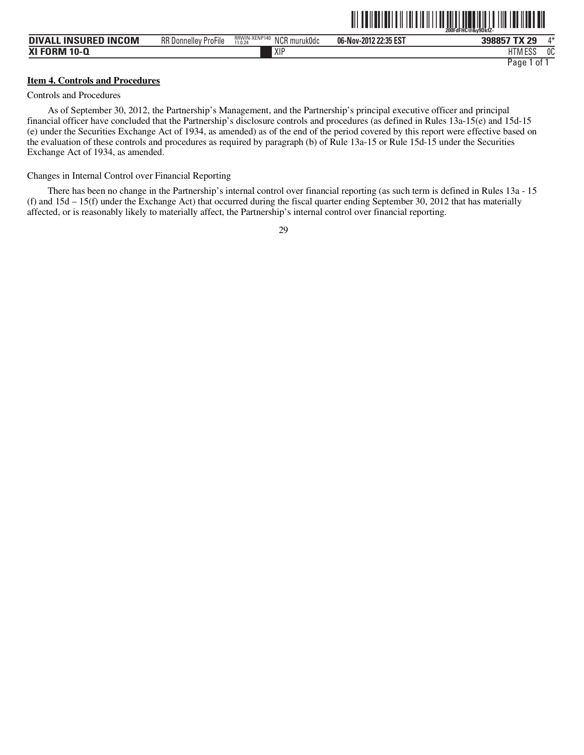| <b>DIVALL INSURED INCOM</b> | <b>RR Donnelley ProFile</b> | RRWIN-XENP140<br>NCR<br>የ muruk0dc<br>11.0.24 | 06-Nov-2012 22:35 EST | $A*$<br>398857 TX 29 |
|-----------------------------|-----------------------------|-----------------------------------------------|-----------------------|----------------------|
| <b>XI FORM 10-Q</b>         |                             | <b>XIP</b>                                    |                       | 0C<br>HTM ESS        |
|                             |                             |                                               |                       | Paqe<br>01           |

<u>oli toimuttui liitti liitti toimuttuuttui liittivuttuut</u>

#### **Item 4. Controls and Procedures**

#### Controls and Procedures

As of September 30, 2012, the Partnership's Management, and the Partnership's principal executive officer and principal financial officer have concluded that the Partnership's disclosure controls and procedures (as defined in Rules 13a-15(e) and 15d-15 (e) under the Securities Exchange Act of 1934, as amended) as of the end of the period covered by this report were effective based on the evaluation of these controls and procedures as required by paragraph (b) of Rule 13a-15 or Rule 15d-15 under the Securities Exchange Act of 1934, as amended.

Changes in Internal Control over Financial Reporting

There has been no change in the Partnership's internal control over financial reporting (as such term is defined in Rules 13a - 15 (f) and  $15d - 15(f)$  under the Exchange Act) that occurred during the fiscal quarter ending September 30, 2012 that has materially affected, or is reasonably likely to materially affect, the Partnership's internal control over financial reporting.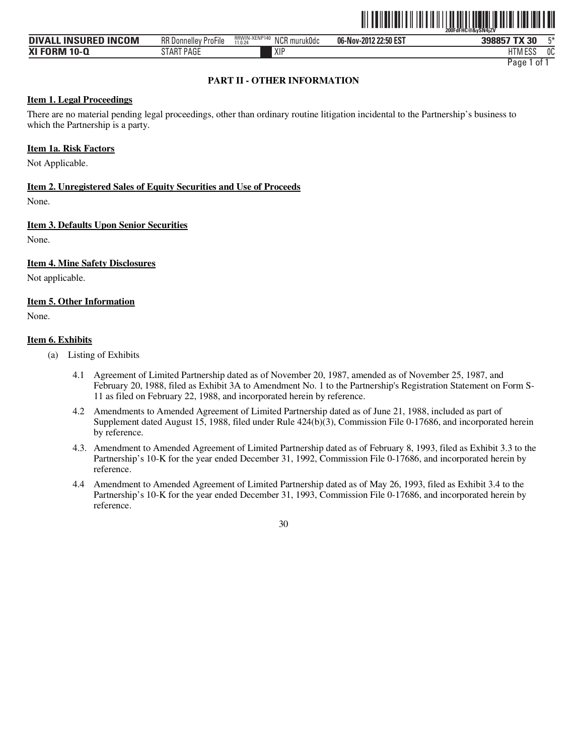

| <b>INCOM</b><br>. INSURED<br><b>DIVAL</b> | $-\cdot$ .<br>RR D<br>ProFile<br>. ، Donnellev | RRWIN-XENP140<br><b>NICD</b><br>`^R muruk0dc<br>11.0.24<br><b>NUI</b> | -2012 22:50 EST<br>06-Nov-2012 | 398857 TX 30 | $F*$ |
|-------------------------------------------|------------------------------------------------|-----------------------------------------------------------------------|--------------------------------|--------------|------|
| <b>XI FORM 10-0</b><br>м                  | <b>PAGE</b><br>. LAP<br>J I MI                 | XIF                                                                   |                                | HIM ESS      | 0C   |

## **PART II - OTHER INFORMATION**

## **Item 1. Legal Proceedings**

There are no material pending legal proceedings, other than ordinary routine litigation incidental to the Partnership's business to which the Partnership is a party.

## **Item 1a. Risk Factors**

Not Applicable.

## **Item 2. Unregistered Sales of Equity Securities and Use of Proceeds**

None.

## **Item 3. Defaults Upon Senior Securities**

None.

#### **Item 4. Mine Safety Disclosures**

Not applicable.

## **Item 5. Other Information**

None.

#### **Item 6. Exhibits**

- (a) Listing of Exhibits
	- 4.1 Agreement of Limited Partnership dated as of November 20, 1987, amended as of November 25, 1987, and February 20, 1988, filed as Exhibit 3A to Amendment No. 1 to the Partnership's Registration Statement on Form S-11 as filed on February 22, 1988, and incorporated herein by reference.
	- 4.2 Amendments to Amended Agreement of Limited Partnership dated as of June 21, 1988, included as part of Supplement dated August 15, 1988, filed under Rule 424(b)(3), Commission File 0-17686, and incorporated herein by reference.
	- 4.3. Amendment to Amended Agreement of Limited Partnership dated as of February 8, 1993, filed as Exhibit 3.3 to the Partnership's 10-K for the year ended December 31, 1992, Commission File 0-17686, and incorporated herein by reference.
	- 4.4 Amendment to Amended Agreement of Limited Partnership dated as of May 26, 1993, filed as Exhibit 3.4 to the Partnership's 10-K for the year ended December 31, 1993, Commission File 0-17686, and incorporated herein by reference.

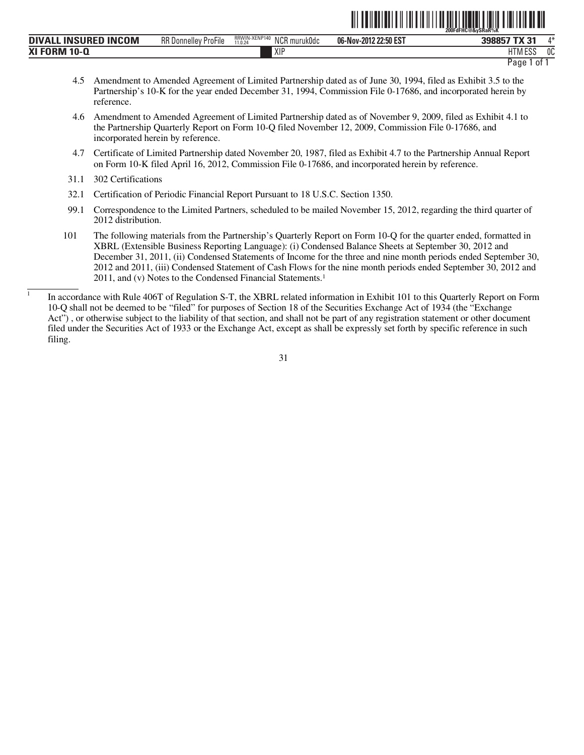|                             |                             |                                          | <u> All an Indian a le chead ann an Dùbhail an Dùbhail an Dùbhail an Dùbhail an Dùbhail an Dùbhail an Dùbhail an Dù</u> | ∭∐∐<br>้ 200FdFHC@&vSRaR%K  |
|-----------------------------|-----------------------------|------------------------------------------|-------------------------------------------------------------------------------------------------------------------------|-----------------------------|
| <b>DIVALL INSURED INCOM</b> | <b>RR Donnelley ProFile</b> | RRWIN-XENP140<br>NCR muruk0dc<br>11.0.24 | 06-Nov-2012 22:50 EST                                                                                                   | $\Lambda^*$<br>398857 TX 31 |
| <b>XI FORM 10-Q</b>         |                             | XIP                                      |                                                                                                                         | <b>HTM ESS</b><br>0C        |

- 4.5 Amendment to Amended Agreement of Limited Partnership dated as of June 30, 1994, filed as Exhibit 3.5 to the Partnership's 10-K for the year ended December 31, 1994, Commission File 0-17686, and incorporated herein by reference.
- 4.6 Amendment to Amended Agreement of Limited Partnership dated as of November 9, 2009, filed as Exhibit 4.1 to the Partnership Quarterly Report on Form 10-Q filed November 12, 2009, Commission File 0-17686, and incorporated herein by reference.
- 4.7 Certificate of Limited Partnership dated November 20, 1987, filed as Exhibit 4.7 to the Partnership Annual Report on Form 10-K filed April 16, 2012, Commission File 0-17686, and incorporated herein by reference.
- 31.1 302 Certifications

 $\overline{1}$ 

- 32.1 Certification of Periodic Financial Report Pursuant to 18 U.S.C. Section 1350.
- 99.1 Correspondence to the Limited Partners, scheduled to be mailed November 15, 2012, regarding the third quarter of 2012 distribution.
- 101 The following materials from the Partnership's Quarterly Report on Form 10-Q for the quarter ended, formatted in XBRL (Extensible Business Reporting Language): (i) Condensed Balance Sheets at September 30, 2012 and December 31, 2011, (ii) Condensed Statements of Income for the three and nine month periods ended September 30, 2012 and 2011, (iii) Condensed Statement of Cash Flows for the nine month periods ended September 30, 2012 and 2011, and (v) Notes to the Condensed Financial Statements. 1

In accordance with Rule 406T of Regulation S-T, the XBRL related information in Exhibit 101 to this Quarterly Report on Form 10-Q shall not be deemed to be "filed" for purposes of Section 18 of the Securities Exchange Act of 1934 (the "Exchange Act") , or otherwise subject to the liability of that section, and shall not be part of any registration statement or other document filed under the Securities Act of 1933 or the Exchange Act, except as shall be expressly set forth by specific reference in such filing.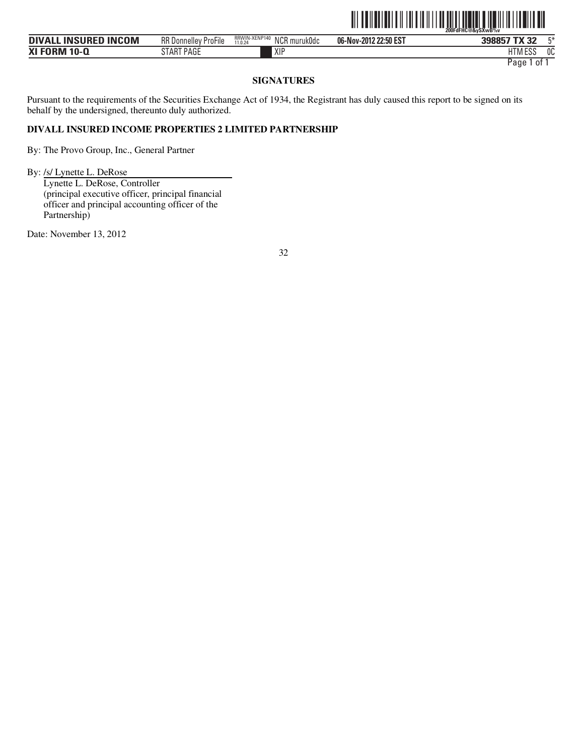

| <b>INSURED INCOM</b><br>DIVAL' | $-\cdot$<br><b>RR</b> Donnelley<br>ProFile | RRWIN-XENP <sup>*</sup><br>$\ddot{\phantom{0}}$<br><b>NICR</b><br>R muruk0dc<br>- 140<br>11.0.24<br><b>NUL</b> | 06-Nov-2012 22:50 EST | 398857 TX 32<br>J7       | г×. |
|--------------------------------|--------------------------------------------|----------------------------------------------------------------------------------------------------------------|-----------------------|--------------------------|-----|
| FNRM 10.<br>-<br>,,,,          | ART PAGE<br>$\blacksquare$                 | <b>YID</b><br>ΛH                                                                                               |                       | 78 A FOO<br>i ivi<br>∟ບເ | ОC  |

## **SIGNATURES**

Pursuant to the requirements of the Securities Exchange Act of 1934, the Registrant has duly caused this report to be signed on its behalf by the undersigned, thereunto duly authorized.

## **DIVALL INSURED INCOME PROPERTIES 2 LIMITED PARTNERSHIP**

By: The Provo Group, Inc., General Partner

By: /s/ Lynette L. DeRose

Lynette L. DeRose, Controller (principal executive officer, principal financial officer and principal accounting officer of the Partnership)

Date: November 13, 2012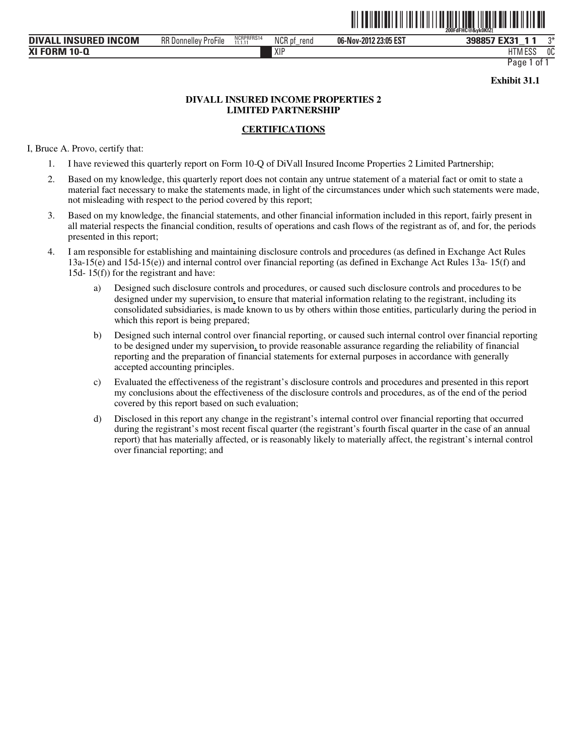

HTM ESS 0C

Page 1 of

**Exhibit 31.1** 

## **DIVALL INSURED INCOME PROPERTIES 2 LIMITED PARTNERSHIP**

## **CERTIFICATIONS**

I, Bruce A. Provo, certify that:

- 1. I have reviewed this quarterly report on Form 10-Q of DiVall Insured Income Properties 2 Limited Partnership;
- 2. Based on my knowledge, this quarterly report does not contain any untrue statement of a material fact or omit to state a material fact necessary to make the statements made, in light of the circumstances under which such statements were made, not misleading with respect to the period covered by this report;
- 3. Based on my knowledge, the financial statements, and other financial information included in this report, fairly present in all material respects the financial condition, results of operations and cash flows of the registrant as of, and for, the periods presented in this report;
- 4. I am responsible for establishing and maintaining disclosure controls and procedures (as defined in Exchange Act Rules 13a-15(e) and 15d-15(e)) and internal control over financial reporting (as defined in Exchange Act Rules 13a- 15(f) and 15d- 15(f)) for the registrant and have:
	- a) Designed such disclosure controls and procedures, or caused such disclosure controls and procedures to be designed under my supervision, to ensure that material information relating to the registrant, including its consolidated subsidiaries, is made known to us by others within those entities, particularly during the period in which this report is being prepared;
	- b) Designed such internal control over financial reporting, or caused such internal control over financial reporting to be designed under my supervision, to provide reasonable assurance regarding the reliability of financial reporting and the preparation of financial statements for external purposes in accordance with generally accepted accounting principles.
	- c) Evaluated the effectiveness of the registrant's disclosure controls and procedures and presented in this report my conclusions about the effectiveness of the disclosure controls and procedures, as of the end of the period covered by this report based on such evaluation;
	- d) Disclosed in this report any change in the registrant's internal control over financial reporting that occurred during the registrant's most recent fiscal quarter (the registrant's fourth fiscal quarter in the case of an annual report) that has materially affected, or is reasonably likely to materially affect, the registrant's internal control over financial reporting; and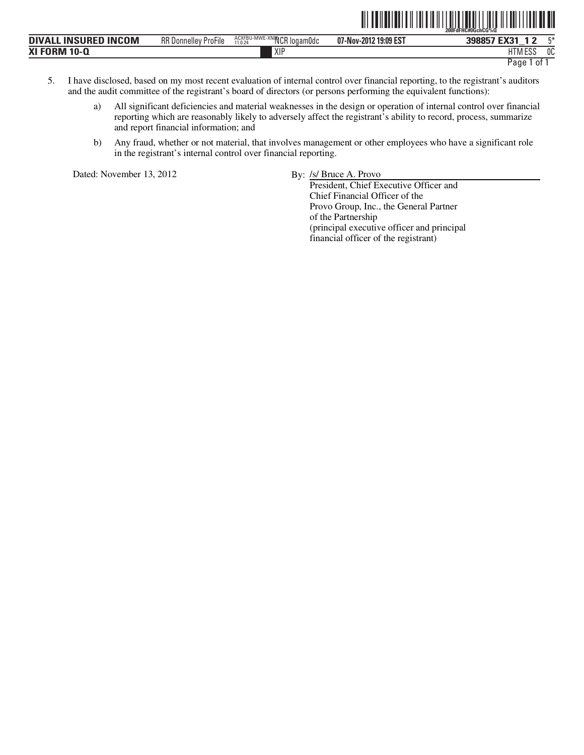|                                                                 |                                       |                                                                    |                          | 200FdFHC#0GchCG%0                                                               |
|-----------------------------------------------------------------|---------------------------------------|--------------------------------------------------------------------|--------------------------|---------------------------------------------------------------------------------|
| <b>ICOM</b><br><b>INSURED</b><br><b>IN</b><br><b>DIVA</b><br>-- | <b>RR</b> Donnelley<br>---<br>ProFile | <b>E-XNOOCR</b><br>? logam0dc<br>ACXFBU·<br>∵l-IVIVVE-.<br>11.0.24 | 19:09 EST<br>07-Nov-2012 | <b>EVO4</b><br>mж.<br>200057<br>ᅜᇩ<br>ാാപ                                       |
| XI FOI<br>$10 -$<br>JKM                                         |                                       | XIF                                                                |                          | $F^{\alpha}$<br>0C<br>דוו<br>n i ivi t<br>LUU<br>___<br><b>STATES OF STREET</b> |

TITE A LITTLE AND LITTLE AND LITTLE AND LITTLE AND LITTLE AND LITTLE AND LITTLE AND LITTLE AND LITTLE AND LITT

- 5. I have disclosed, based on my most recent evaluation of internal control over financial reporting, to the registrant's auditors and the audit committee of the registrant's board of directors (or persons performing the equivalent functions):
	- a) All significant deficiencies and material weaknesses in the design or operation of internal control over financial reporting which are reasonably likely to adversely affect the registrant's ability to record, process, summarize and report financial information; and
	- b) Any fraud, whether or not material, that involves management or other employees who have a significant role in the registrant's internal control over financial reporting.

Dated: November 13, 2012 By: /s/ Bruce A. Provo

President, Chief Executive Officer and Chief Financial Officer of the Provo Group, Inc., the General Partner of the Partnership (principal executive officer and principal financial officer of the registrant)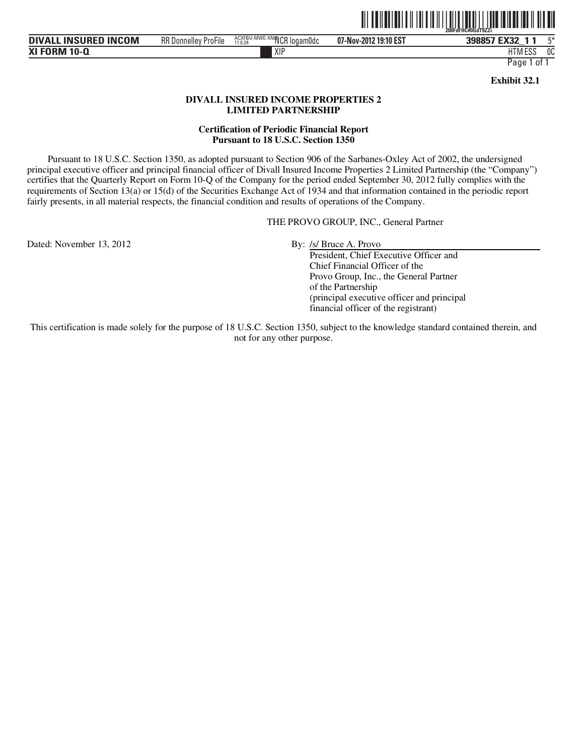

**DIVALL INSURED INCOM** RR Donnelley Profile ACXEBU-MWE-XNOR logamOdc 07-Nov-2012 19:10 EST 398857 EX32 **XI FORM 10-Q 07-Nov-2012 19:10 EST** XIP HTM RR Donnelley ProFile NCR logam0dc 5\* ACXFBU-MWE-XN05 11.0.24 HTM ESS 0C

Page 1 of 1

**Exhibit 32.1** 

## **DIVALL INSURED INCOME PROPERTIES 2 LIMITED PARTNERSHIP**

#### **Certification of Periodic Financial Report Pursuant to 18 U.S.C. Section 1350**

Pursuant to 18 U.S.C. Section 1350, as adopted pursuant to Section 906 of the Sarbanes-Oxley Act of 2002, the undersigned principal executive officer and principal financial officer of Divall Insured Income Properties 2 Limited Partnership (the "Company") certifies that the Quarterly Report on Form 10-Q of the Company for the period ended September 30, 2012 fully complies with the requirements of Section 13(a) or 15(d) of the Securities Exchange Act of 1934 and that information contained in the periodic report fairly presents, in all material respects, the financial condition and results of operations of the Company.

THE PROVO GROUP, INC., General Partner

Dated: November 13, 2012 By: /s/ Bruce A. Provo

 President, Chief Executive Officer and Chief Financial Officer of the Provo Group, Inc., the General Partner of the Partnership (principal executive officer and principal financial officer of the registrant)

This certification is made solely for the purpose of 18 U.S.C. Section 1350, subject to the knowledge standard contained therein, and not for any other purpose.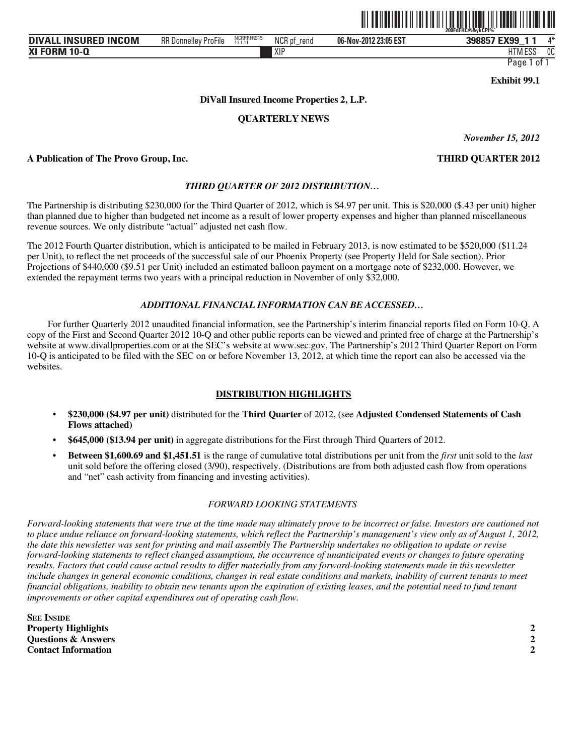

| . INSURED INCOM<br><b>DIVALL</b> | $-\cdot$ .<br>RR C<br>. Donnellev<br>ProFile | NCRPRFRS15<br>11.1.11 | NCR pt<br>rend | 06-Nov-2012 23:05 EST | / EX99<br>398857        | ⁄l* |
|----------------------------------|----------------------------------------------|-----------------------|----------------|-----------------------|-------------------------|-----|
| <b>XI FORM 10-Q</b>              |                                              |                       | XIP            |                       | $-$ n $\sim$<br>HIM ESS | 0C  |

**Exhibit 99.1** 

## **DiVall Insured Income Properties 2, L.P.**

## **QUARTERLY NEWS**

*November 15, 2012*

#### **A Publication of The Provo Group, Inc. THIRD QUARTER 2012**

## *THIRD QUARTER OF 2012 DISTRIBUTION…*

The Partnership is distributing \$230,000 for the Third Quarter of 2012, which is \$4.97 per unit. This is \$20,000 (\$.43 per unit) higher than planned due to higher than budgeted net income as a result of lower property expenses and higher than planned miscellaneous revenue sources. We only distribute "actual" adjusted net cash flow.

The 2012 Fourth Quarter distribution, which is anticipated to be mailed in February 2013, is now estimated to be \$520,000 (\$11.24 per Unit), to reflect the net proceeds of the successful sale of our Phoenix Property (see Property Held for Sale section). Prior Projections of \$440,000 (\$9.51 per Unit) included an estimated balloon payment on a mortgage note of \$232,000. However, we extended the repayment terms two years with a principal reduction in November of only \$32,000.

#### *ADDITIONAL FINANCIAL INFORMATION CAN BE ACCESSED…*

For further Quarterly 2012 unaudited financial information, see the Partnership's interim financial reports filed on Form 10-Q. A copy of the First and Second Quarter 2012 10-Q and other public reports can be viewed and printed free of charge at the Partnership's website at www.divallproperties.com or at the SEC's website at www.sec.gov. The Partnership's 2012 Third Quarter Report on Form 10-Q is anticipated to be filed with the SEC on or before November 13, 2012, at which time the report can also be accessed via the websites.

#### **DISTRIBUTION HIGHLIGHTS**

- **\$230,000 (\$4.97 per unit)** distributed for the **Third Quarter** of 2012, (see **Adjusted Condensed Statements of Cash Flows attached)**
- **\$645,000 (\$13.94 per unit)** in aggregate distributions for the First through Third Quarters of 2012.
- **Between \$1,600.69 and \$1,451.51** is the range of cumulative total distributions per unit from the *first* unit sold to the *last*  unit sold before the offering closed (3/90), respectively. (Distributions are from both adjusted cash flow from operations and "net" cash activity from financing and investing activities).

#### *FORWARD LOOKING STATEMENTS*

*Forward-looking statements that were true at the time made may ultimately prove to be incorrect or false. Investors are cautioned not to place undue reliance on forward-looking statements, which reflect the Partnership's management's view only as of August 1, 2012, the date this newsletter was sent for printing and mail assembly The Partnership undertakes no obligation to update or revise forward-looking statements to reflect changed assumptions, the occurrence of unanticipated events or changes to future operating results. Factors that could cause actual results to differ materially from any forward-looking statements made in this newsletter*  include changes in general economic conditions, changes in real estate conditions and markets, inability of current tenants to meet *financial obligations, inability to obtain new tenants upon the expiration of existing leases, and the potential need to fund tenant improvements or other capital expenditures out of operating cash flow.* 

| <b>SEE INSIDE</b>              |  |
|--------------------------------|--|
| <b>Property Highlights</b>     |  |
| <b>Ouestions &amp; Answers</b> |  |
| <b>Contact Information</b>     |  |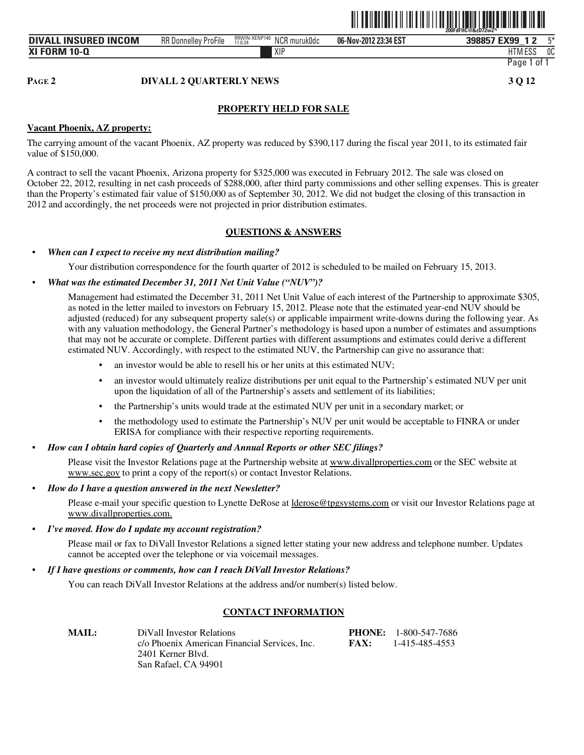

## **PAGE 2 DIVALL 2 QUARTERLY NEWS 3 Q 12**

## **PROPERTY HELD FOR SALE**

## **Vacant Phoenix, AZ property:**

The carrying amount of the vacant Phoenix, AZ property was reduced by \$390,117 during the fiscal year 2011, to its estimated fair value of \$150,000.

A contract to sell the vacant Phoenix, Arizona property for \$325,000 was executed in February 2012. The sale was closed on October 22, 2012, resulting in net cash proceeds of \$288,000, after third party commissions and other selling expenses. This is greater than the Property's estimated fair value of \$150,000 as of September 30, 2012. We did not budget the closing of this transaction in 2012 and accordingly, the net proceeds were not projected in prior distribution estimates.

## **QUESTIONS & ANSWERS**

## • *When can I expect to receive my next distribution mailing?*

Your distribution correspondence for the fourth quarter of 2012 is scheduled to be mailed on February 15, 2013.

#### • *What was the estimated December 31, 2011 Net Unit Value ("NUV")?*

Management had estimated the December 31, 2011 Net Unit Value of each interest of the Partnership to approximate \$305, as noted in the letter mailed to investors on February 15, 2012. Please note that the estimated year-end NUV should be adjusted (reduced) for any subsequent property sale(s) or applicable impairment write-downs during the following year. As with any valuation methodology, the General Partner's methodology is based upon a number of estimates and assumptions that may not be accurate or complete. Different parties with different assumptions and estimates could derive a different estimated NUV. Accordingly, with respect to the estimated NUV, the Partnership can give no assurance that:

- an investor would be able to resell his or her units at this estimated NUV;
- an investor would ultimately realize distributions per unit equal to the Partnership's estimated NUV per unit upon the liquidation of all of the Partnership's assets and settlement of its liabilities;
- the Partnership's units would trade at the estimated NUV per unit in a secondary market; or
- the methodology used to estimate the Partnership's NUV per unit would be acceptable to FINRA or under ERISA for compliance with their respective reporting requirements.
- *How can I obtain hard copies of Quarterly and Annual Reports or other SEC filings?*

Please visit the Investor Relations page at the Partnership website at www.divallproperties.com or the SEC website at www.sec.gov to print a copy of the report(s) or contact Investor Relations.

• *How do I have a question answered in the next Newsletter?*

Please e-mail your specific question to Lynette DeRose at lderose@tpgsystems.com or visit our Investor Relations page at www.divallproperties.com.

• *I've moved. How do I update my account registration?*

Please mail or fax to DiVall Investor Relations a signed letter stating your new address and telephone number. Updates cannot be accepted over the telephone or via voicemail messages.

#### • *If I have questions or comments, how can I reach DiVall Investor Relations?*

You can reach DiVall Investor Relations at the address and/or number(s) listed below.

## **CONTACT INFORMATION**

| <b>MAIL:</b> | DiVall Investor Relations                     |             | <b>PHONE:</b> 1-800-547-7686 |
|--------------|-----------------------------------------------|-------------|------------------------------|
|              | c/o Phoenix American Financial Services, Inc. | <b>FAX:</b> | 1-415-485-4553               |
|              | 2401 Kerner Blyd.                             |             |                              |
|              | San Rafael, CA 94901                          |             |                              |